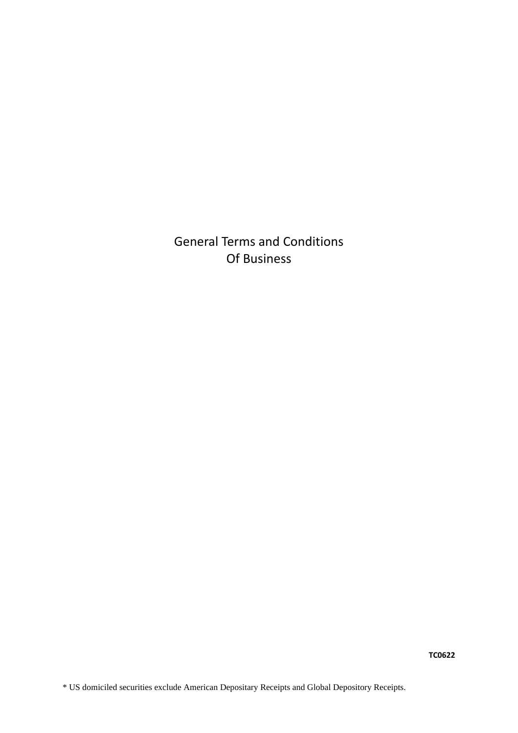General Terms and Conditions Of Business

**TC0622**

\* US domiciled securities exclude American Depositary Receipts and Global Depository Receipts.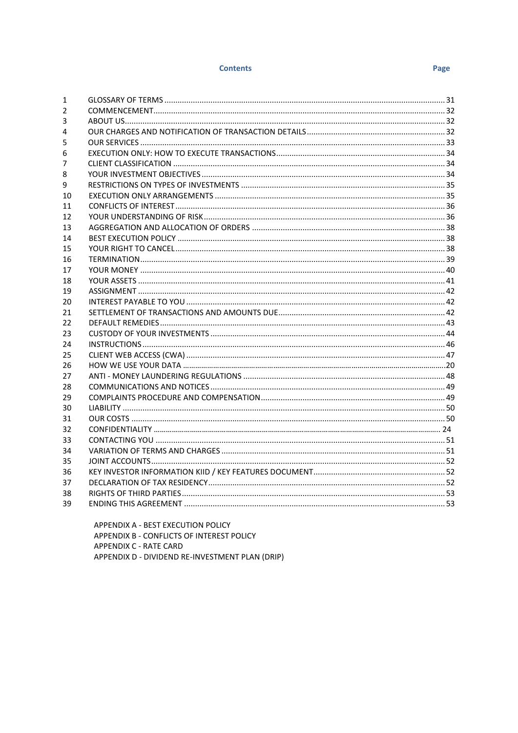#### **Contents**

| 1  |  |
|----|--|
| 2  |  |
| 3  |  |
| 4  |  |
| 5  |  |
| 6  |  |
| 7  |  |
| 8  |  |
| 9  |  |
| 10 |  |
| 11 |  |
| 12 |  |
| 13 |  |
| 14 |  |
| 15 |  |
| 16 |  |
| 17 |  |
| 18 |  |
| 19 |  |
| 20 |  |
| 21 |  |
| 22 |  |
| 23 |  |
| 24 |  |
| 25 |  |
| 26 |  |
| 27 |  |
| 28 |  |
| 29 |  |
| 30 |  |
| 31 |  |
| 32 |  |
| 33 |  |
| 34 |  |
| 35 |  |
| 36 |  |
| 37 |  |
| 38 |  |
| 39 |  |
|    |  |

APPENDIX A - BEST EXECUTION POLICY APPENDIX B - CONFLICTS OF INTEREST POLICY APPENDIX C - RATE CARD APPENDIX D - DIVIDEND RE-INVESTMENT PLAN (DRIP)

## Page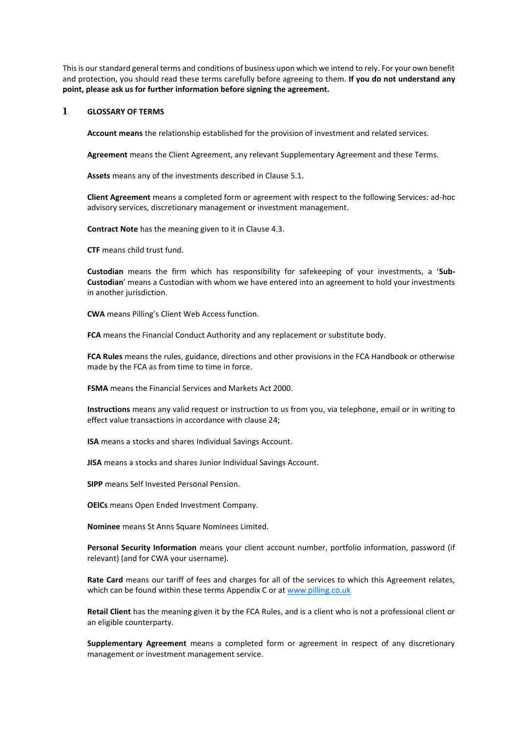This is our standard general terms and conditions of business upon which we intend to rely. For your own benefit and protection, you should read these terms carefully before agreeing to them. **If you do not understand any point, please ask us for further information before signing the agreement.**

## <span id="page-2-0"></span>**1 GLOSSARY OF TERMS**

**Account means** the relationship established for the provision of investment and related services.

**Agreement** means the Client Agreement, any relevant Supplementary Agreement and these Terms.

**Assets** means any of the investments described in Clause [5.1.](#page-4-1)

**Client Agreement** means a completed form or agreement with respect to the following Services: ad-hoc advisory services, discretionary management or investment management.

**Contract Note** has the meaning given to it in Clause [4.3.](#page-3-3)

**CTF** means child trust fund.

**Custodian** means the firm which has responsibility for safekeeping of your investments, a '**Sub-Custodian**' means a Custodian with whom we have entered into an agreement to hold your investments in another jurisdiction.

**CWA** means Pilling's Client Web Access function.

**FCA** means the Financial Conduct Authority and any replacement or substitute body.

**FCA Rules** means the rules, guidance, directions and other provisions in the FCA Handbook or otherwise made by the FCA as from time to time in force.

**FSMA** means the Financial Services and Markets Act 2000.

**Instructions** means any valid request or instruction to us from you, via telephone, email or in writing to effect value transactions in accordance with clause 24;

**ISA** means a stocks and shares Individual Savings Account.

**JISA** means a stocks and shares Junior Individual Savings Account.

**SIPP** means Self Invested Personal Pension.

**OEICs** means Open Ended Investment Company.

**Nominee** means St Anns Square Nominees Limited.

**Personal Security Information** means your client account number, portfolio information, password (if relevant) (and for CWA your username).

**Rate Card** means our tariff of fees and charges for all of the services to which this Agreement relates, which can be found within these terms Appendix C or at [www.pilling.co.uk](http://www.pilling.co.uk/)

**Retail Client** has the meaning given it by the FCA Rules, and is a client who is not a professional client or an eligible counterparty.

**Supplementary Agreement** means a completed form or agreement in respect of any discretionary management or investment management service.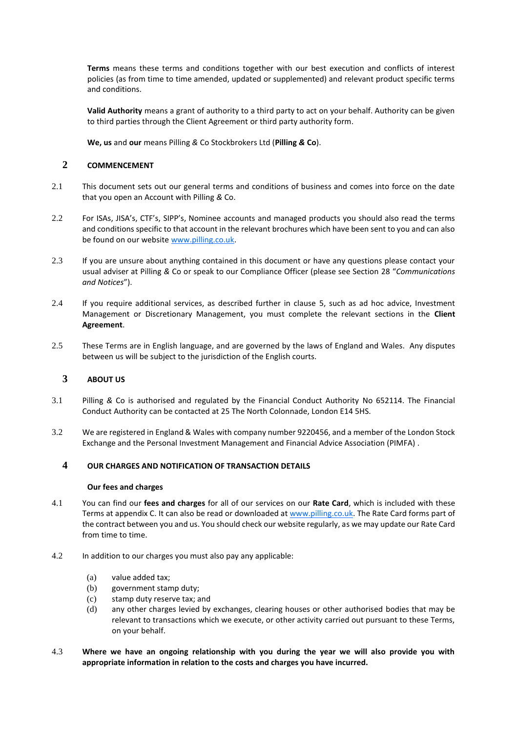**Terms** means these terms and conditions together with our best execution and conflicts of interest policies (as from time to time amended, updated or supplemented) and relevant product specific terms and conditions.

**Valid Authority** means a grant of authority to a third party to act on your behalf. Authority can be given to third parties through the Client Agreement or third party authority form.

**We, us** and **our** means Pilling *&* Co Stockbrokers Ltd (**Pilling** *&* **Co**).

## <span id="page-3-0"></span>**2 COMMENCEMENT**

- 2.1 This document sets out our general terms and conditions of business and comes into force on the date that you open an Account with Pilling *&* Co.
- 2.2 For ISAs, JISA's, CTF's, SIPP's, Nominee accounts and managed products you should also read the terms and conditions specific to that account in the relevant brochures which have been sent to you and can also be found on our websit[e www.pilling.co.uk.](http://www.pilling.co.uk/)
- 2.3 If you are unsure about anything contained in this document or have any questions please contact your usual adviser at Pilling *&* Co or speak to our Compliance Officer (please see Section [28](#page-20-0) "*Communications and Notices*").
- 2.4 If you require additional services, as described further in clause [5,](#page-4-0) such as ad hoc advice, Investment Management or Discretionary Management, you must complete the relevant sections in the **Client Agreement**.
- 2.5 These Terms are in English language, and are governed by the laws of England and Wales. Any disputes between us will be subject to the jurisdiction of the English courts.

# <span id="page-3-1"></span>**3 ABOUT US**

- 3.1 Pilling *&* Co is authorised and regulated by the Financial Conduct Authority No 652114. The Financial Conduct Authority can be contacted at 25 The North Colonnade, London E14 5HS.
- 3.2 We are registered in England & Wales with company number 9220456, and a member of the London Stock Exchange and the Personal Investment Management and Financial Advice Association (PIMFA) .

## <span id="page-3-2"></span>**4 OUR CHARGES AND NOTIFICATION OF TRANSACTION DETAILS**

#### **Our fees and charges**

- 4.1 You can find our **fees and charges** for all of our services on our **Rate Card**, which is included with these Terms at appendix C. It can also be read or downloaded at [www.pilling.co.uk.](http://www.pilling.co.uk/) The Rate Card forms part of the contract between you and us. You should check our website regularly, as we may update our Rate Card from time to time.
- 4.2 In addition to our charges you must also pay any applicable:
	- (a) value added tax;
	- (b) government stamp duty;
	- (c) stamp duty reserve tax; and
	- (d) any other charges levied by exchanges, clearing houses or other authorised bodies that may be relevant to transactions which we execute, or other activity carried out pursuant to these Terms, on your behalf.
- <span id="page-3-3"></span>4.3 **Where we have an ongoing relationship with you during the year we will also provide you with appropriate information in relation to the costs and charges you have incurred.**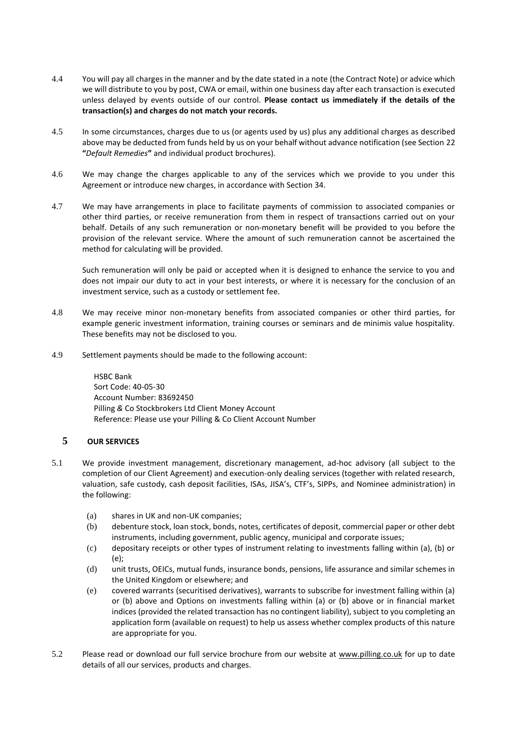- 4.4 You will pay all charges in the manner and by the date stated in a note (the Contract Note) or advice which we will distribute to you by post, CWA or email, within one business day after each transaction is executed unless delayed by events outside of our control. **Please contact us immediately if the details of the transaction(s) and charges do not match your records.**
- 4.5 In some circumstances, charges due to us (or agents used by us) plus any additional charges as described above may be deducted from funds held by us on your behalf without advance notification (see Section [22](#page-14-0) **"***Default Remedies***"** and individual product brochures).
- 4.6 We may change the charges applicable to any of the services which we provide to you under this Agreement or introduce new charges, in accordance with Section 34.
- 4.7 We may have arrangements in place to facilitate payments of commission to associated companies or other third parties, or receive remuneration from them in respect of transactions carried out on your behalf. Details of any such remuneration or non-monetary benefit will be provided to you before the provision of the relevant service. Where the amount of such remuneration cannot be ascertained the method for calculating will be provided.

Such remuneration will only be paid or accepted when it is designed to enhance the service to you and does not impair our duty to act in your best interests, or where it is necessary for the conclusion of an investment service, such as a custody or settlement fee.

- 4.8 We may receive minor non-monetary benefits from associated companies or other third parties, for example generic investment information, training courses or seminars and de minimis value hospitality. These benefits may not be disclosed to you.
- 4.9 Settlement payments should be made to the following account:

HSBC Bank Sort Code: 40-05-30 Account Number: 83692450 Pilling *&* Co Stockbrokers Ltd Client Money Account Reference: Please use your Pilling & Co Client Account Number

# <span id="page-4-0"></span>**5 OUR SERVICES**

- <span id="page-4-1"></span>5.1 We provide investment management, discretionary management, ad-hoc advisory (all subject to the completion of our Client Agreement) and execution-only dealing services (together with related research, valuation, safe custody, cash deposit facilities, ISAs, JISA's, CTF's, SIPPs, and Nominee administration) in the following:
	- (a) shares in UK and non-UK companies;
	- (b) debenture stock, loan stock, bonds, notes, certificates of deposit, commercial paper or other debt instruments, including government, public agency, municipal and corporate issues;
	- (c) depositary receipts or other types of instrument relating to investments falling within (a), (b) or (e);
	- (d) unit trusts, OEICs, mutual funds, insurance bonds, pensions, life assurance and similar schemes in the United Kingdom or elsewhere; and
	- (e) covered warrants (securitised derivatives), warrants to subscribe for investment falling within (a) or (b) above and Options on investments falling within (a) or (b) above or in financial market indices (provided the related transaction has no contingent liability), subject to you completing an application form (available on request) to help us assess whether complex products of this nature are appropriate for you.
- 5.2 Please read or download our full service brochure from our website at [www.pilling.co.uk](http://www.pilling.co.uk/) for up to date details of all our services, products and charges.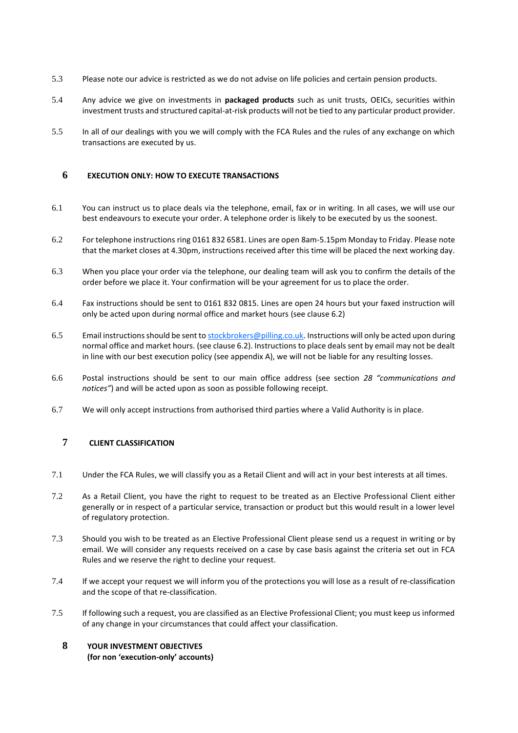- 5.3 Please note our advice is restricted as we do not advise on life policies and certain pension products.
- 5.4 Any advice we give on investments in **packaged products** such as unit trusts, OEICs, securities within investment trusts and structured capital-at-risk products will not be tied to any particular product provider.
- 5.5 In all of our dealings with you we will comply with the FCA Rules and the rules of any exchange on which transactions are executed by us.

## <span id="page-5-0"></span>**6 EXECUTION ONLY: HOW TO EXECUTE TRANSACTIONS**

- 6.1 You can instruct us to place deals via the telephone, email, fax or in writing. In all cases, we will use our best endeavours to execute your order. A telephone order is likely to be executed by us the soonest.
- 6.2 For telephone instructions ring 0161 832 6581. Lines are open 8am-5.15pm Monday to Friday. Please note that the market closes at 4.30pm, instructions received after this time will be placed the next working day.
- 6.3 When you place your order via the telephone, our dealing team will ask you to confirm the details of the order before we place it. Your confirmation will be your agreement for us to place the order.
- 6.4 Fax instructions should be sent to 0161 832 0815. Lines are open 24 hours but your faxed instruction will only be acted upon during normal office and market hours (see clause 6.2)
- 6.5 Email instructions should be sent to [stockbrokers@pilling.co.uk.](mailto:stockbrokers@pilling.co.uk) Instructions will only be acted upon during normal office and market hours. (see clause 6.2). Instructions to place deals sent by email may not be dealt in line with our best execution policy (see appendix A), we will not be liable for any resulting losses.
- 6.6 Postal instructions should be sent to our main office address (see section *28 "communications and notices"*) and will be acted upon as soon as possible following receipt.
- 6.7 We will only accept instructions from authorised third parties where a Valid Authority is in place.

# <span id="page-5-1"></span>**7 CLIENT CLASSIFICATION**

- 7.1 Under the FCA Rules, we will classify you as a Retail Client and will act in your best interests at all times.
- 7.2 As a Retail Client, you have the right to request to be treated as an Elective Professional Client either generally or in respect of a particular service, transaction or product but this would result in a lower level of regulatory protection.
- 7.3 Should you wish to be treated as an Elective Professional Client please send us a request in writing or by email. We will consider any requests received on a case by case basis against the criteria set out in FCA Rules and we reserve the right to decline your request.
- 7.4 If we accept your request we will inform you of the protections you will lose as a result of re-classification and the scope of that re-classification.
- 7.5 If following such a request, you are classified as an Elective Professional Client; you must keep us informed of any change in your circumstances that could affect your classification.

## <span id="page-5-2"></span>**8 YOUR INVESTMENT OBJECTIVES (for non 'execution-only' accounts)**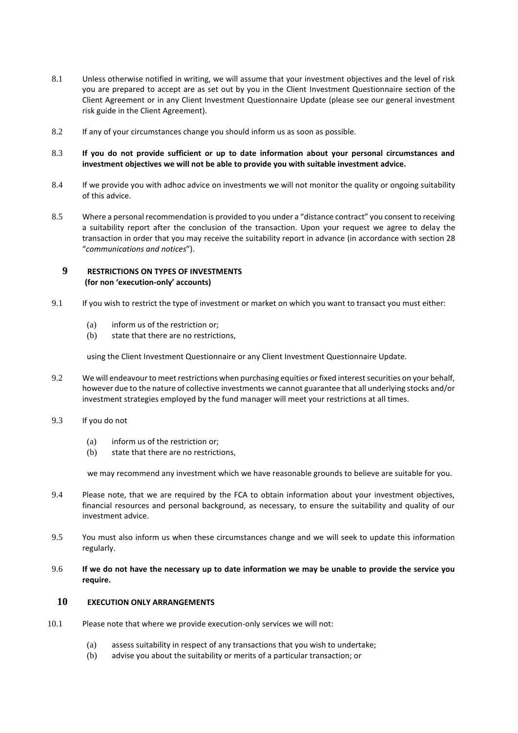- 8.1 Unless otherwise notified in writing, we will assume that your investment objectives and the level of risk you are prepared to accept are as set out by you in the Client Investment Questionnaire section of the Client Agreement or in any Client Investment Questionnaire Update (please see our general investment risk guide in the Client Agreement).
- 8.2 If any of your circumstances change you should inform us as soon as possible.
- 8.3 **If you do not provide sufficient or up to date information about your personal circumstances and investment objectives we will not be able to provide you with suitable investment advice.**
- 8.4 If we provide you with adhoc advice on investments we will not monitor the quality or ongoing suitability of this advice.
- 8.5 Where a personal recommendation is provided to you under a "distance contract" you consent to receiving a suitability report after the conclusion of the transaction. Upon your request we agree to delay the transaction in order that you may receive the suitability report in advance (in accordance with section 28 "*communications and notices*").

## <span id="page-6-0"></span>**9 RESTRICTIONS ON TYPES OF INVESTMENTS (for non 'execution-only' accounts)**

- 9.1 If you wish to restrict the type of investment or market on which you want to transact you must either:
	- (a) inform us of the restriction or;
	- (b) state that there are no restrictions,

using the Client Investment Questionnaire or any Client Investment Questionnaire Update.

- 9.2 We will endeavour to meet restrictions when purchasing equities or fixed interest securities on your behalf, however due to the nature of collective investments we cannot guarantee that all underlying stocks and/or investment strategies employed by the fund manager will meet your restrictions at all times.
- 9.3 If you do not
	- (a) inform us of the restriction or;
	- (b) state that there are no restrictions,

we may recommend any investment which we have reasonable grounds to believe are suitable for you.

- 9.4 Please note, that we are required by the FCA to obtain information about your investment objectives, financial resources and personal background, as necessary, to ensure the suitability and quality of our investment advice.
- 9.5 You must also inform us when these circumstances change and we will seek to update this information regularly.
- 9.6 **If we do not have the necessary up to date information we may be unable to provide the service you require.**

## <span id="page-6-1"></span>**10 EXECUTION ONLY ARRANGEMENTS**

- 10.1 Please note that where we provide execution-only services we will not:
	- (a) assess suitability in respect of any transactions that you wish to undertake;
	- (b) advise you about the suitability or merits of a particular transaction; or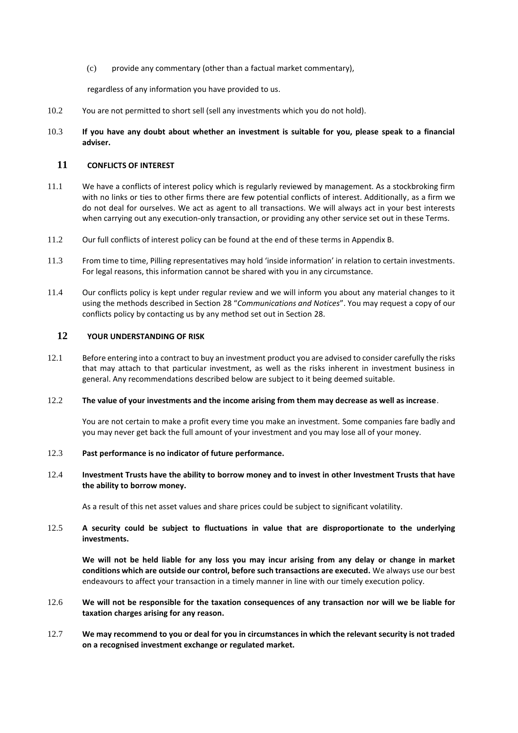(c) provide any commentary (other than a factual market commentary),

regardless of any information you have provided to us.

- 10.2 You are not permitted to short sell (sell any investments which you do not hold).
- 10.3 **If you have any doubt about whether an investment is suitable for you, please speak to a financial adviser.**

## <span id="page-7-0"></span>**11 CONFLICTS OF INTEREST**

- 11.1 We have a conflicts of interest policy which is regularly reviewed by management. As a stockbroking firm with no links or ties to other firms there are few potential conflicts of interest. Additionally, as a firm we do not deal for ourselves. We act as agent to all transactions. We will always act in your best interests when carrying out any execution-only transaction, or providing any other service set out in these Terms.
- 11.2 Our full conflicts of interest policy can be found at the end of these terms in Appendix B.
- 11.3 From time to time, Pilling representatives may hold 'inside information' in relation to certain investments. For legal reasons, this information cannot be shared with you in any circumstance.
- 11.4 Our conflicts policy is kept under regular review and we will inform you about any material changes to it using the methods described in Section [28](#page-20-0) "*Communications and Notices*". You may request a copy of our conflicts policy by contacting us by any method set out in Section [28.](#page-20-0)

## <span id="page-7-1"></span>**12 YOUR UNDERSTANDING OF RISK**

12.1 Before entering into a contract to buy an investment product you are advised to consider carefully the risks that may attach to that particular investment, as well as the risks inherent in investment business in general. Any recommendations described below are subject to it being deemed suitable.

#### 12.2 **The value of your investments and the income arising from them may decrease as well as increase**.

You are not certain to make a profit every time you make an investment. Some companies fare badly and you may never get back the full amount of your investment and you may lose all of your money.

#### 12.3 **Past performance is no indicator of future performance.**

#### 12.4 **Investment Trusts have the ability to borrow money and to invest in other Investment Trusts that have the ability to borrow money.**

As a result of this net asset values and share prices could be subject to significant volatility.

## 12.5 **A security could be subject to fluctuations in value that are disproportionate to the underlying investments.**

**We will not be held liable for any loss you may incur arising from any delay or change in market conditions which are outside our control, before such transactions are executed.** We always use our best endeavours to affect your transaction in a timely manner in line with our timely execution policy.

### 12.6 **We will not be responsible for the taxation consequences of any transaction nor will we be liable for taxation charges arising for any reason.**

12.7 **We may recommend to you or deal for you in circumstances in which the relevant security is not traded on a recognised investment exchange or regulated market.**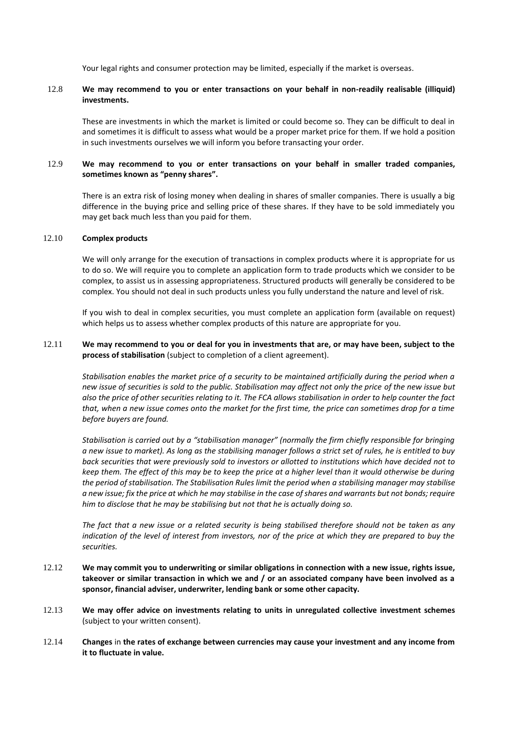Your legal rights and consumer protection may be limited, especially if the market is overseas.

## 12.8 **We may recommend to you or enter transactions on your behalf in non-readily realisable (illiquid) investments.**

These are investments in which the market is limited or could become so. They can be difficult to deal in and sometimes it is difficult to assess what would be a proper market price for them. If we hold a position in such investments ourselves we will inform you before transacting your order.

## 12.9 **We may recommend to you or enter transactions on your behalf in smaller traded companies, sometimes known as "penny shares".**

There is an extra risk of losing money when dealing in shares of smaller companies. There is usually a big difference in the buying price and selling price of these shares. If they have to be sold immediately you may get back much less than you paid for them.

#### 12.10 **Complex products**

We will only arrange for the execution of transactions in complex products where it is appropriate for us to do so. We will require you to complete an application form to trade products which we consider to be complex, to assist us in assessing appropriateness. Structured products will generally be considered to be complex. You should not deal in such products unless you fully understand the nature and level of risk.

If you wish to deal in complex securities, you must complete an application form (available on request) which helps us to assess whether complex products of this nature are appropriate for you.

#### 12.11 **We may recommend to you or deal for you in investments that are, or may have been, subject to the process of stabilisation** (subject to completion of a client agreement).

*Stabilisation enables the market price of a security to be maintained artificially during the period when a new issue of securities is sold to the public. Stabilisation may affect not only the price of the new issue but also the price of other securities relating to it. The FCA allows stabilisation in order to help counter the fact that, when a new issue comes onto the market for the first time, the price can sometimes drop for a time before buyers are found.* 

*Stabilisation is carried out by a "stabilisation manager" (normally the firm chiefly responsible for bringing a new issue to market). As long as the stabilising manager follows a strict set of rules, he is entitled to buy back securities that were previously sold to investors or allotted to institutions which have decided not to keep them. The effect of this may be to keep the price at a higher level than it would otherwise be during the period of stabilisation. The Stabilisation Rules limit the period when a stabilising manager may stabilise a new issue; fix the price at which he may stabilise in the case of shares and warrants but not bonds; require him to disclose that he may be stabilising but not that he is actually doing so.* 

*The fact that a new issue or a related security is being stabilised therefore should not be taken as any indication of the level of interest from investors, nor of the price at which they are prepared to buy the securities.* 

- 12.12 **We may commit you to underwriting or similar obligations in connection with a new issue, rights issue, takeover or similar transaction in which we and / or an associated company have been involved as a sponsor, financial adviser, underwriter, lending bank or some other capacity.**
- 12.13 **We may offer advice on investments relating to units in unregulated collective investment schemes**  (subject to your written consent).
- 12.14 **Changes** in **the rates of exchange between currencies may cause your investment and any income from it to fluctuate in value.**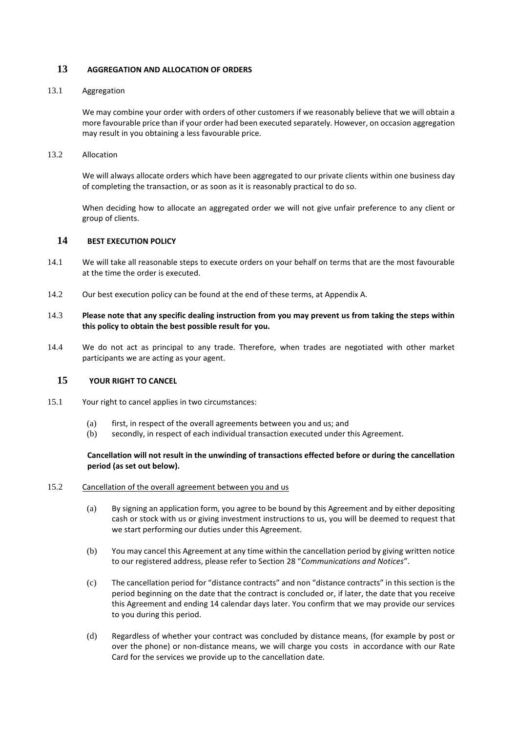### <span id="page-9-0"></span>**13 AGGREGATION AND ALLOCATION OF ORDERS**

#### 13.1 Aggregation

We may combine your order with orders of other customers if we reasonably believe that we will obtain a more favourable price than if your order had been executed separately. However, on occasion aggregation may result in you obtaining a less favourable price.

13.2 Allocation

We will always allocate orders which have been aggregated to our private clients within one business day of completing the transaction, or as soon as it is reasonably practical to do so.

When deciding how to allocate an aggregated order we will not give unfair preference to any client or group of clients.

#### <span id="page-9-1"></span>**14 BEST EXECUTION POLICY**

- 14.1 We will take all reasonable steps to execute orders on your behalf on terms that are the most favourable at the time the order is executed.
- 14.2 Our best execution policy can be found at the end of these terms, at Appendix A.
- 14.3 **Please note that any specific dealing instruction from you may prevent us from taking the steps within this policy to obtain the best possible result for you.**
- 14.4 We do not act as principal to any trade. Therefore, when trades are negotiated with other market participants we are acting as your agent.

## <span id="page-9-2"></span>**15 YOUR RIGHT TO CANCEL**

- 15.1 Your right to cancel applies in two circumstances:
	- (a) first, in respect of the overall agreements between you and us; and
	- (b) secondly, in respect of each individual transaction executed under this Agreement.

#### **Cancellation will not result in the unwinding of transactions effected before or during the cancellation period (as set out below).**

#### 15.2 Cancellation of the overall agreement between you and us

- (a) By signing an application form, you agree to be bound by this Agreement and by either depositing cash or stock with us or giving investment instructions to us, you will be deemed to request that we start performing our duties under this Agreement.
- (b) You may cancel this Agreement at any time within the cancellation period by giving written notice to our registered address, please refer to Sectio[n 28](#page-20-0) "*Communications and Notices*".
- (c) The cancellation period for "distance contracts" and non "distance contracts" in this section is the period beginning on the date that the contract is concluded or, if later, the date that you receive this Agreement and ending 14 calendar days later. You confirm that we may provide our services to you during this period.
- (d) Regardless of whether your contract was concluded by distance means, (for example by post or over the phone) or non-distance means, we will charge you costs in accordance with our Rate Card for the services we provide up to the cancellation date.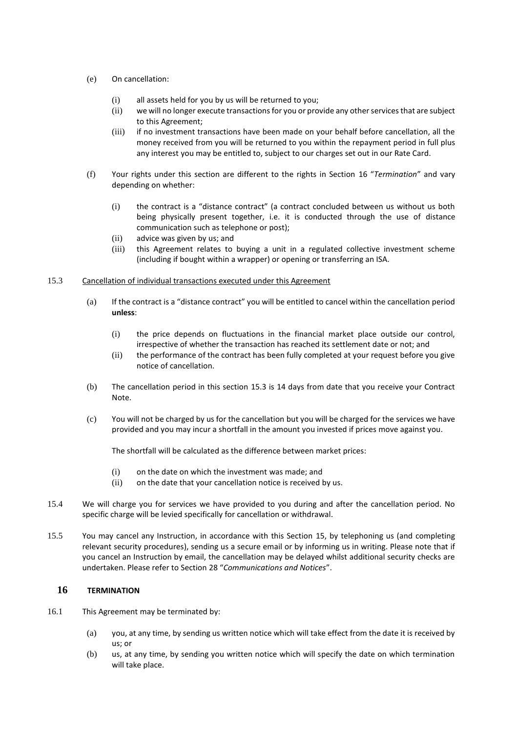- (e) On cancellation:
	- (i) all assets held for you by us will be returned to you;
	- (ii) we will no longer execute transactions for you or provide any other services that are subject to this Agreement;
	- (iii) if no investment transactions have been made on your behalf before cancellation, all the money received from you will be returned to you within the repayment period in full plus any interest you may be entitled to, subject to our charges set out in our Rate Card.
- (f) Your rights under this section are different to the rights in Section [16](#page-10-0) "*Termination*" and vary depending on whether:
	- (i) the contract is a "distance contract" (a contract concluded between us without us both being physically present together, i.e. it is conducted through the use of distance communication such as telephone or post);
	- (ii) advice was given by us; and
	- (iii) this Agreement relates to buying a unit in a regulated collective investment scheme (including if bought within a wrapper) or opening or transferring an ISA.

#### <span id="page-10-1"></span>15.3 Cancellation of individual transactions executed under this Agreement

- (a) If the contract is a "distance contract" you will be entitled to cancel within the cancellation period **unless**:
	- (i) the price depends on fluctuations in the financial market place outside our control, irrespective of whether the transaction has reached its settlement date or not; and
	- (ii) the performance of the contract has been fully completed at your request before you give notice of cancellation.
- (b) The cancellation period in this section [15.3](#page-10-1) is 14 days from date that you receive your Contract Note.
- (c) You will not be charged by us for the cancellation but you will be charged for the services we have provided and you may incur a shortfall in the amount you invested if prices move against you.

The shortfall will be calculated as the difference between market prices:

- (i) on the date on which the investment was made; and
- (ii) on the date that your cancellation notice is received by us.
- 15.4 We will charge you for services we have provided to you during and after the cancellation period. No specific charge will be levied specifically for cancellation or withdrawal.
- 15.5 You may cancel any Instruction, in accordance with this Section [15,](#page-9-2) by telephoning us (and completing relevant security procedures), sending us a secure email or by informing us in writing. Please note that if you cancel an Instruction by email, the cancellation may be delayed whilst additional security checks are undertaken. Please refer to Section [28](#page-20-0) "*Communications and Notices*".

# <span id="page-10-0"></span>**16 TERMINATION**

- 16.1 This Agreement may be terminated by:
	- (a) you, at any time, by sending us written notice which will take effect from the date it is received by us; or
	- (b) us, at any time, by sending you written notice which will specify the date on which termination will take place.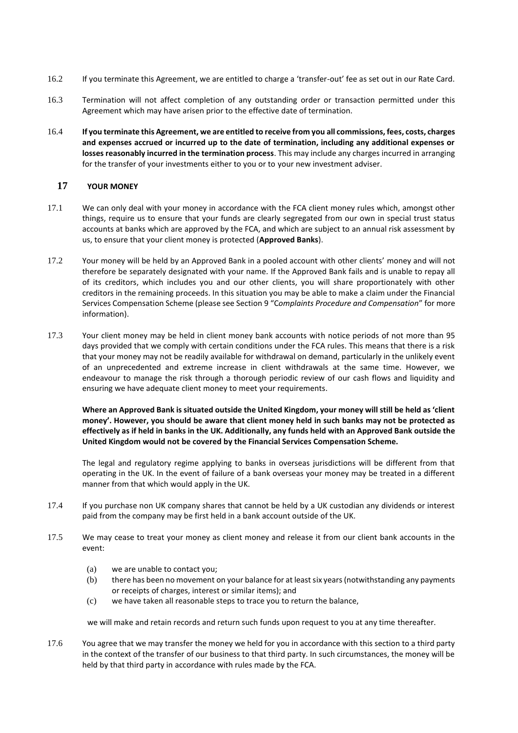- 16.2 If you terminate this Agreement, we are entitled to charge a 'transfer-out' fee as set out in our Rate Card.
- 16.3 Termination will not affect completion of any outstanding order or transaction permitted under this Agreement which may have arisen prior to the effective date of termination.
- 16.4 **If you terminate this Agreement, we are entitled to receive from you all commissions, fees, costs, charges and expenses accrued or incurred up to the date of termination, including any additional expenses or losses reasonably incurred in the termination process**. This may include any charges incurred in arranging for the transfer of your investments either to you or to your new investment adviser.

#### <span id="page-11-0"></span>**17 YOUR MONEY**

- 17.1 We can only deal with your money in accordance with the FCA client money rules which, amongst other things, require us to ensure that your funds are clearly segregated from our own in special trust status accounts at banks which are approved by the FCA, and which are subject to an annual risk assessment by us, to ensure that your client money is protected (**Approved Banks**).
- 17.2 Your money will be held by an Approved Bank in a pooled account with other clients' money and will not therefore be separately designated with your name*.* If the Approved Bank fails and is unable to repay all of its creditors, which includes you and our other clients, you will share proportionately with other creditors in the remaining proceeds. In this situation you may be able to make a claim under the Financial Services Compensation Scheme (please see Section 9 "C*omplaints Procedure and Compensation*" for more information).
- 17.3 Your client money may be held in client money bank accounts with notice periods of not more than 95 days provided that we comply with certain conditions under the FCA rules. This means that there is a risk that your money may not be readily available for withdrawal on demand, particularly in the unlikely event of an unprecedented and extreme increase in client withdrawals at the same time. However, we endeavour to manage the risk through a thorough periodic review of our cash flows and liquidity and ensuring we have adequate client money to meet your requirements.

**Where an Approved Bank is situated outside the United Kingdom, your money will still be held as 'client money'. However, you should be aware that client money held in such banks may not be protected as effectively as if held in banks in the UK. Additionally, any funds held with an Approved Bank outside the United Kingdom would not be covered by the Financial Services Compensation Scheme.**

The legal and regulatory regime applying to banks in overseas jurisdictions will be different from that operating in the UK. In the event of failure of a bank overseas your money may be treated in a different manner from that which would apply in the UK.

- 17.4 If you purchase non UK company shares that cannot be held by a UK custodian any dividends or interest paid from the company may be first held in a bank account outside of the UK.
- 17.5 We may cease to treat your money as client money and release it from our client bank accounts in the event:
	- (a) we are unable to contact you;
	- (b) there has been no movement on your balance for at least six years (notwithstanding any payments or receipts of charges, interest or similar items); and
	- (c) we have taken all reasonable steps to trace you to return the balance,

we will make and retain records and return such funds upon request to you at any time thereafter.

17.6 You agree that we may transfer the money we held for you in accordance with this section to a third party in the context of the transfer of our business to that third party. In such circumstances, the money will be held by that third party in accordance with rules made by the FCA.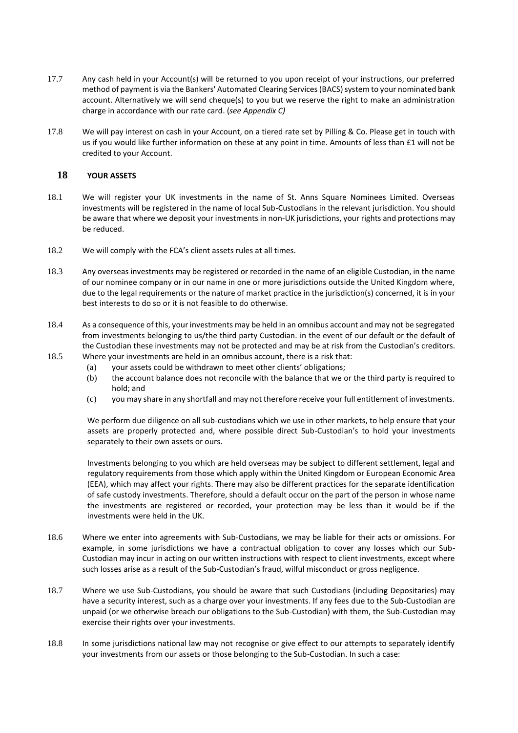- 17.7 Any cash held in your Account(s) will be returned to you upon receipt of your instructions, our preferred method of payment is via the Bankers' Automated Clearing Services (BACS) system to your nominated bank account. Alternatively we will send cheque(s) to you but we reserve the right to make an administration charge in accordance with our rate card. (*see Appendix C)*
- 17.8 We will pay interest on cash in your Account, on a tiered rate set by Pilling & Co. Please get in touch with us if you would like further information on these at any point in time. Amounts of less than £1 will not be credited to your Account.

## <span id="page-12-0"></span>**18 YOUR ASSETS**

- 18.1 We will register your UK investments in the name of St. Anns Square Nominees Limited. Overseas investments will be registered in the name of local Sub-Custodians in the relevant jurisdiction. You should be aware that where we deposit your investments in non-UK jurisdictions, your rights and protections may be reduced.
- 18.2 We will comply with the FCA's client assets rules at all times.
- 18.3 Any overseas investments may be registered or recorded in the name of an eligible Custodian, in the name of our nominee company or in our name in one or more jurisdictions outside the United Kingdom where, due to the legal requirements or the nature of market practice in the jurisdiction(s) concerned, it is in your best interests to do so or it is not feasible to do otherwise.
- 18.4 As a consequence of this, your investments may be held in an omnibus account and may not be segregated from investments belonging to us/the third party Custodian. in the event of our default or the default of the Custodian these investments may not be protected and may be at risk from the Custodian's creditors.
- 18.5 Where your investments are held in an omnibus account, there is a risk that:
	- (a) your assets could be withdrawn to meet other clients' obligations;
	- (b) the account balance does not reconcile with the balance that we or the third party is required to hold; and
	- (c) you may share in any shortfall and may not therefore receive your full entitlement of investments.

We perform due diligence on all sub-custodians which we use in other markets, to help ensure that your assets are properly protected and, where possible direct Sub-Custodian's to hold your investments separately to their own assets or ours.

Investments belonging to you which are held overseas may be subject to different settlement, legal and regulatory requirements from those which apply within the United Kingdom or European Economic Area (EEA), which may affect your rights. There may also be different practices for the separate identification of safe custody investments. Therefore, should a default occur on the part of the person in whose name the investments are registered or recorded, your protection may be less than it would be if the investments were held in the UK.

- 18.6 Where we enter into agreements with Sub-Custodians, we may be liable for their acts or omissions. For example, in some jurisdictions we have a contractual obligation to cover any losses which our Sub-Custodian may incur in acting on our written instructions with respect to client investments, except where such losses arise as a result of the Sub-Custodian's fraud, wilful misconduct or gross negligence.
- 18.7 Where we use Sub-Custodians, you should be aware that such Custodians (including Depositaries) may have a security interest, such as a charge over your investments. If any fees due to the Sub-Custodian are unpaid (or we otherwise breach our obligations to the Sub-Custodian) with them, the Sub-Custodian may exercise their rights over your investments.
- 18.8 In some jurisdictions national law may not recognise or give effect to our attempts to separately identify your investments from our assets or those belonging to the Sub-Custodian. In such a case: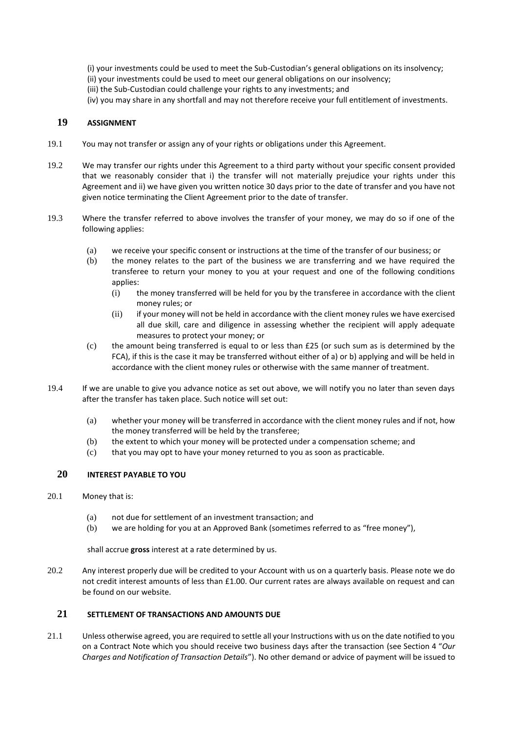(i) your investments could be used to meet the Sub-Custodian's general obligations on its insolvency; (ii) your investments could be used to meet our general obligations on our insolvency; (iii) the Sub-Custodian could challenge your rights to any investments; and (iv) you may share in any shortfall and may not therefore receive your full entitlement of investments.

# <span id="page-13-0"></span>**19 ASSIGNMENT**

- 19.1 You may not transfer or assign any of your rights or obligations under this Agreement.
- 19.2 We may transfer our rights under this Agreement to a third party without your specific consent provided that we reasonably consider that i) the transfer will not materially prejudice your rights under this Agreement and ii) we have given you written notice 30 days prior to the date of transfer and you have not given notice terminating the Client Agreement prior to the date of transfer.
- 19.3 Where the transfer referred to above involves the transfer of your money, we may do so if one of the following applies:
	- (a) we receive your specific consent or instructions at the time of the transfer of our business; or
	- (b) the money relates to the part of the business we are transferring and we have required the transferee to return your money to you at your request and one of the following conditions applies:
		- (i) the money transferred will be held for you by the transferee in accordance with the client money rules; or
		- (ii) if your money will not be held in accordance with the client money rules we have exercised all due skill, care and diligence in assessing whether the recipient will apply adequate measures to protect your money; or
	- (c) the amount being transferred is equal to or less than £25 (or such sum as is determined by the FCA), if this is the case it may be transferred without either of a) or b) applying and will be held in accordance with the client money rules or otherwise with the same manner of treatment.
- 19.4 If we are unable to give you advance notice as set out above, we will notify you no later than seven days after the transfer has taken place. Such notice will set out:
	- (a) whether your money will be transferred in accordance with the client money rules and if not, how the money transferred will be held by the transferee;
	- (b) the extent to which your money will be protected under a compensation scheme; and
	- (c) that you may opt to have your money returned to you as soon as practicable.

## <span id="page-13-1"></span>**20 INTEREST PAYABLE TO YOU**

- 20.1 Money that is:
	- (a) not due for settlement of an investment transaction; and
	- (b) we are holding for you at an Approved Bank (sometimes referred to as "free money"),

shall accrue **gross** interest at a rate determined by us.

20.2 Any interest properly due will be credited to your Account with us on a quarterly basis. Please note we do not credit interest amounts of less than £1.00. Our current rates are always available on request and can be found on our website.

# <span id="page-13-2"></span>**21 SETTLEMENT OF TRANSACTIONS AND AMOUNTS DUE**

21.1 Unless otherwise agreed, you are required to settle all your Instructions with us on the date notified to you on a Contract Note which you should receive two business days after the transaction (see Section [4](#page-3-2) "*Our Charges and Notification of Transaction Details*"). No other demand or advice of payment will be issued to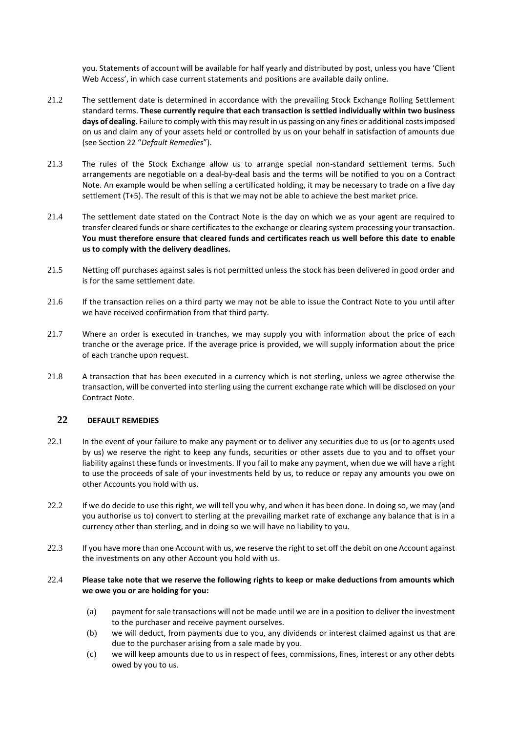you. Statements of account will be available for half yearly and distributed by post, unless you have 'Client Web Access', in which case current statements and positions are available daily online.

- 21.2 The settlement date is determined in accordance with the prevailing Stock Exchange Rolling Settlement standard terms. **These currently require that each transaction is settled individually within two business days of dealing**. Failure to comply with this may result in us passing on any fines or additional costs imposed on us and claim any of your assets held or controlled by us on your behalf in satisfaction of amounts due (see Section [22](#page-14-0) "*Default Remedies*").
- 21.3 The rules of the Stock Exchange allow us to arrange special non-standard settlement terms. Such arrangements are negotiable on a deal-by-deal basis and the terms will be notified to you on a Contract Note. An example would be when selling a certificated holding, it may be necessary to trade on a five day settlement (T+5). The result of this is that we may not be able to achieve the best market price.
- 21.4 The settlement date stated on the Contract Note is the day on which we as your agent are required to transfer cleared funds or share certificates to the exchange or clearing system processing your transaction. **You must therefore ensure that cleared funds and certificates reach us well before this date to enable us to comply with the delivery deadlines.**
- 21.5 Netting off purchases against sales is not permitted unless the stock has been delivered in good order and is for the same settlement date.
- 21.6 If the transaction relies on a third party we may not be able to issue the Contract Note to you until after we have received confirmation from that third party.
- 21.7 Where an order is executed in tranches, we may supply you with information about the price of each tranche or the average price. If the average price is provided, we will supply information about the price of each tranche upon request.
- 21.8 A transaction that has been executed in a currency which is not sterling, unless we agree otherwise the transaction, will be converted into sterling using the current exchange rate which will be disclosed on your Contract Note.

# <span id="page-14-0"></span>**22 DEFAULT REMEDIES**

- 22.1 In the event of your failure to make any payment or to deliver any securities due to us (or to agents used by us) we reserve the right to keep any funds, securities or other assets due to you and to offset your liability against these funds or investments. If you fail to make any payment, when due we will have a right to use the proceeds of sale of your investments held by us, to reduce or repay any amounts you owe on other Accounts you hold with us.
- 22.2 If we do decide to use this right, we will tell you why, and when it has been done. In doing so, we may (and you authorise us to) convert to sterling at the prevailing market rate of exchange any balance that is in a currency other than sterling, and in doing so we will have no liability to you.
- 22.3 If you have more than one Account with us, we reserve the right to set off the debit on one Account against the investments on any other Account you hold with us.

## 22.4 **Please take note that we reserve the following rights to keep or make deductions from amounts which we owe you or are holding for you:**

- (a) payment for sale transactions will not be made until we are in a position to deliver the investment to the purchaser and receive payment ourselves.
- (b) we will deduct, from payments due to you, any dividends or interest claimed against us that are due to the purchaser arising from a sale made by you.
- (c) we will keep amounts due to us in respect of fees, commissions, fines, interest or any other debts owed by you to us.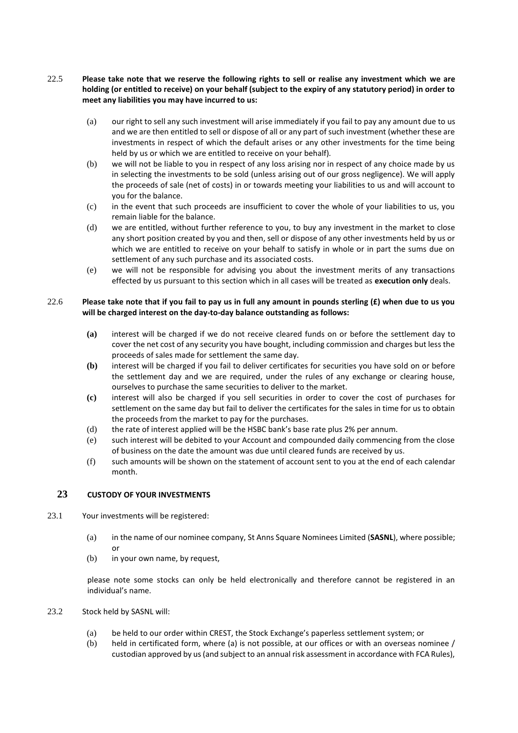## 22.5 **Please take note that we reserve the following rights to sell or realise any investment which we are holding (or entitled to receive) on your behalf (subject to the expiry of any statutory period) in order to meet any liabilities you may have incurred to us:**

- (a) our right to sell any such investment will arise immediately if you fail to pay any amount due to us and we are then entitled to sell or dispose of all or any part of such investment (whether these are investments in respect of which the default arises or any other investments for the time being held by us or which we are entitled to receive on your behalf)*.*
- (b) we will not be liable to you in respect of any loss arising nor in respect of any choice made by us in selecting the investments to be sold (unless arising out of our gross negligence). We will apply the proceeds of sale (net of costs) in or towards meeting your liabilities to us and will account to you for the balance.
- (c) in the event that such proceeds are insufficient to cover the whole of your liabilities to us, you remain liable for the balance.
- (d) we are entitled, without further reference to you, to buy any investment in the market to close any short position created by you and then, sell or dispose of any other investments held by us or which we are entitled to receive on your behalf to satisfy in whole or in part the sums due on settlement of any such purchase and its associated costs.
- (e) we will not be responsible for advising you about the investment merits of any transactions effected by us pursuant to this section which in all cases will be treated as **execution only** deals.

## 22.6 **Please take note that if you fail to pay us in full any amount in pounds sterling (£) when due to us you will be charged interest on the day-to-day balance outstanding as follows:**

- **(a)** interest will be charged if we do not receive cleared funds on or before the settlement day to cover the net cost of any security you have bought, including commission and charges but less the proceeds of sales made for settlement the same day.
- **(b)** interest will be charged if you fail to deliver certificates for securities you have sold on or before the settlement day and we are required, under the rules of any exchange or clearing house, ourselves to purchase the same securities to deliver to the market.
- **(c)** interest will also be charged if you sell securities in order to cover the cost of purchases for settlement on the same day but fail to deliver the certificates for the sales in time for us to obtain the proceeds from the market to pay for the purchases.
- (d) the rate of interest applied will be the HSBC bank's base rate plus 2% per annum.
- (e) such interest will be debited to your Account and compounded daily commencing from the close of business on the date the amount was due until cleared funds are received by us.
- (f) such amounts will be shown on the statement of account sent to you at the end of each calendar month.

# <span id="page-15-0"></span>**23 CUSTODY OF YOUR INVESTMENTS**

- 23.1 Your investments will be registered:
	- (a) in the name of our nominee company, St Anns Square Nominees Limited (**SASNL**), where possible; or
	- (b) in your own name, by request,

please note some stocks can only be held electronically and therefore cannot be registered in an individual's name.

- 23.2 Stock held by SASNL will:
	- (a) be held to our order within CREST, the Stock Exchange's paperless settlement system; or
	- (b) held in certificated form, where (a) is not possible, at our offices or with an overseas nominee / custodian approved by us (and subject to an annual risk assessment in accordance with FCA Rules),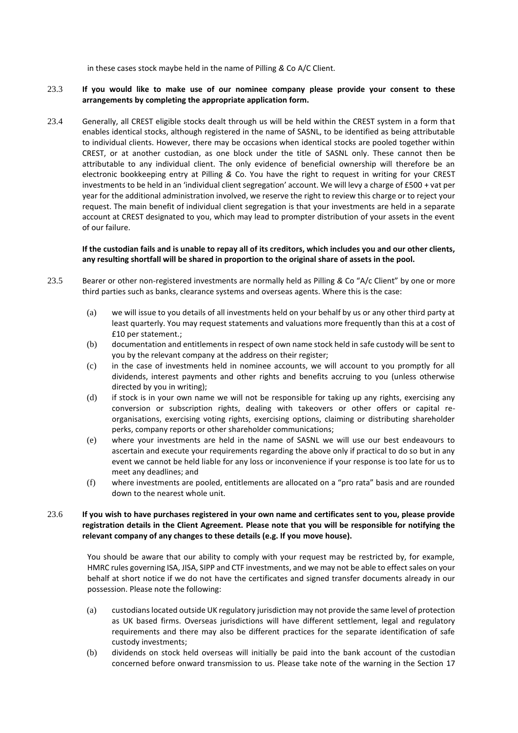in these cases stock maybe held in the name of Pilling *&* Co A/C Client.

#### 23.3 **If you would like to make use of our nominee company please provide your consent to these arrangements by completing the appropriate application form.**

23.4 Generally, all CREST eligible stocks dealt through us will be held within the CREST system in a form that enables identical stocks, although registered in the name of SASNL, to be identified as being attributable to individual clients. However, there may be occasions when identical stocks are pooled together within CREST, or at another custodian, as one block under the title of SASNL only. These cannot then be attributable to any individual client. The only evidence of beneficial ownership will therefore be an electronic bookkeeping entry at Pilling *&* Co. You have the right to request in writing for your CREST investments to be held in an 'individual client segregation' account. We will levy a charge of £500 + vat per year for the additional administration involved, we reserve the right to review this charge or to reject your request. The main benefit of individual client segregation is that your investments are held in a separate account at CREST designated to you, which may lead to prompter distribution of your assets in the event of our failure.

#### **If the custodian fails and is unable to repay all of its creditors, which includes you and our other clients, any resulting shortfall will be shared in proportion to the original share of assets in the pool.**

- 23.5 Bearer or other non-registered investments are normally held as Pilling *&* Co "A/c Client" by one or more third parties such as banks, clearance systems and overseas agents. Where this is the case:
	- (a) we will issue to you details of all investments held on your behalf by us or any other third party at least quarterly. You may request statements and valuations more frequently than this at a cost of £10 per statement.;
	- (b) documentation and entitlements in respect of own name stock held in safe custody will be sent to you by the relevant company at the address on their register;
	- (c) in the case of investments held in nominee accounts, we will account to you promptly for all dividends, interest payments and other rights and benefits accruing to you (unless otherwise directed by you in writing);
	- (d) if stock is in your own name we will not be responsible for taking up any rights, exercising any conversion or subscription rights, dealing with takeovers or other offers or capital reorganisations, exercising voting rights, exercising options, claiming or distributing shareholder perks, company reports or other shareholder communications;
	- (e) where your investments are held in the name of SASNL we will use our best endeavours to ascertain and execute your requirements regarding the above only if practical to do so but in any event we cannot be held liable for any loss or inconvenience if your response is too late for us to meet any deadlines; and
	- (f) where investments are pooled, entitlements are allocated on a "pro rata" basis and are rounded down to the nearest whole unit.

#### 23.6 **If you wish to have purchases registered in your own name and certificates sent to you, please provide registration details in the Client Agreement. Please note that you will be responsible for notifying the relevant company of any changes to these details (e.g. If you move house).**

You should be aware that our ability to comply with your request may be restricted by, for example, HMRC rules governing ISA, JISA, SIPP and CTF investments, and we may not be able to effect sales on your behalf at short notice if we do not have the certificates and signed transfer documents already in our possession. Please note the following:

- (a) custodians located outside UK regulatory jurisdiction may not provide the same level of protection as UK based firms. Overseas jurisdictions will have different settlement, legal and regulatory requirements and there may also be different practices for the separate identification of safe custody investments;
- (b) dividends on stock held overseas will initially be paid into the bank account of the custodian concerned before onward transmission to us. Please take note of the warning in the Section [17](#page-11-0)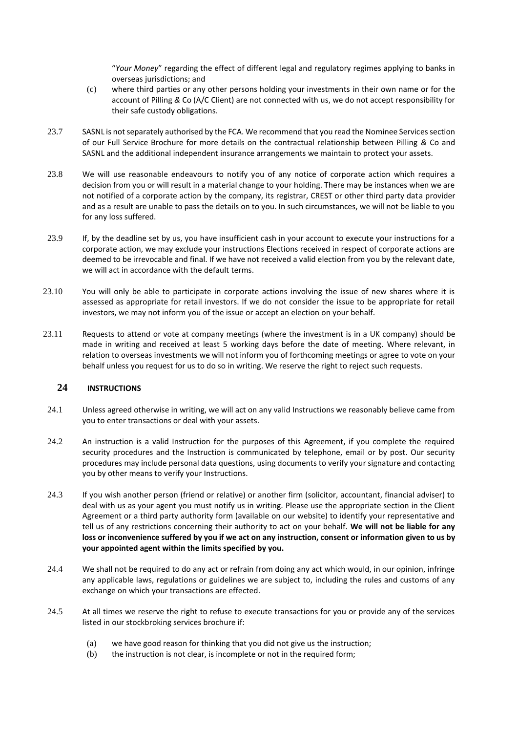"*Your Money*" regarding the effect of different legal and regulatory regimes applying to banks in overseas jurisdictions; and

- (c) where third parties or any other persons holding your investments in their own name or for the account of Pilling *&* Co (A/C Client) are not connected with us, we do not accept responsibility for their safe custody obligations.
- 23.7 SASNL is not separately authorised by the FCA. We recommend that you read the Nominee Services section of our Full Service Brochure for more details on the contractual relationship between Pilling *&* Co and SASNL and the additional independent insurance arrangements we maintain to protect your assets.
- 23.8 We will use reasonable endeavours to notify you of any notice of corporate action which requires a decision from you or will result in a material change to your holding. There may be instances when we are not notified of a corporate action by the company, its registrar, CREST or other third party data provider and as a result are unable to pass the details on to you. In such circumstances, we will not be liable to you for any loss suffered.
- 23.9 If, by the deadline set by us, you have insufficient cash in your account to execute your instructions for a corporate action, we may exclude your instructions Elections received in respect of corporate actions are deemed to be irrevocable and final. If we have not received a valid election from you by the relevant date, we will act in accordance with the default terms.
- 23.10 You will only be able to participate in corporate actions involving the issue of new shares where it is assessed as appropriate for retail investors. If we do not consider the issue to be appropriate for retail investors, we may not inform you of the issue or accept an election on your behalf.
- 23.11 Requests to attend or vote at company meetings (where the investment is in a UK company) should be made in writing and received at least 5 working days before the date of meeting. Where relevant, in relation to overseas investments we will not inform you of forthcoming meetings or agree to vote on your behalf unless you request for us to do so in writing. We reserve the right to reject such requests.

# <span id="page-17-0"></span>**24 INSTRUCTIONS**

- 24.1 Unless agreed otherwise in writing, we will act on any valid Instructions we reasonably believe came from you to enter transactions or deal with your assets.
- 24.2 An instruction is a valid Instruction for the purposes of this Agreement, if you complete the required security procedures and the Instruction is communicated by telephone, email or by post. Our security procedures may include personal data questions, using documents to verify your signature and contacting you by other means to verify your Instructions.
- <span id="page-17-1"></span>24.3 If you wish another person (friend or relative) or another firm (solicitor, accountant, financial adviser) to deal with us as your agent you must notify us in writing. Please use the appropriate section in the Client Agreement or a third party authority form (available on our website) to identify your representative and tell us of any restrictions concerning their authority to act on your behalf. **We will not be liable for any loss or inconvenience suffered by you if we act on any instruction, consent or information given to us by your appointed agent within the limits specified by you.**
- 24.4 We shall not be required to do any act or refrain from doing any act which would, in our opinion, infringe any applicable laws, regulations or guidelines we are subject to, including the rules and customs of any exchange on which your transactions are effected.
- 24.5 At all times we reserve the right to refuse to execute transactions for you or provide any of the services listed in our stockbroking services brochure if:
	- (a) we have good reason for thinking that you did not give us the instruction;
	- (b) the instruction is not clear, is incomplete or not in the required form;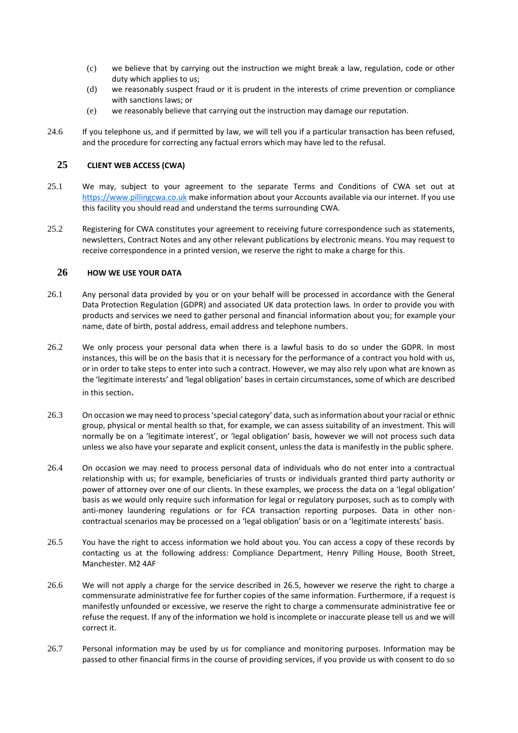- (c) we believe that by carrying out the instruction we might break a law, regulation, code or other duty which applies to us;
- (d) we reasonably suspect fraud or it is prudent in the interests of crime prevention or compliance with sanctions laws; or
- (e) we reasonably believe that carrying out the instruction may damage our reputation.
- 24.6 If you telephone us, and if permitted by law, we will tell you if a particular transaction has been refused, and the procedure for correcting any factual errors which may have led to the refusal.

## <span id="page-18-0"></span>**25 CLIENT WEB ACCESS (CWA)**

- 25.1 We may, subject to your agreement to the separate Terms and Conditions of CWA set out at [https://www.pillingcwa.co.uk](https://www.pillingcwa.co.uk/) make information about your Accounts available via our internet. If you use this facility you should read and understand the terms surrounding CWA.
- 25.2 Registering for CWA constitutes your agreement to receiving future correspondence such as statements, newsletters, Contract Notes and any other relevant publications by electronic means. You may request to receive correspondence in a printed version, we reserve the right to make a charge for this.

### **26 HOW WE USE YOUR DATA**

- 26.1 Any personal data provided by you or on your behalf will be processed in accordance with the General Data Protection Regulation (GDPR) and associated UK data protection laws. In order to provide you with products and services we need to gather personal and financial information about you; for example your name, date of birth, postal address, email address and telephone numbers.
- 26.2 We only process your personal data when there is a lawful basis to do so under the GDPR. In most instances, this will be on the basis that it is necessary for the performance of a contract you hold with us, or in order to take steps to enter into such a contract. However, we may also rely upon what are known as the 'legitimate interests' and 'legal obligation' bases in certain circumstances, some of which are described in this section.
- 26.3 On occasion we may need to process 'special category' data, such as information about your racial or ethnic group, physical or mental health so that, for example, we can assess suitability of an investment. This will normally be on a 'legitimate interest', or 'legal obligation' basis, however we will not process such data unless we also have your separate and explicit consent, unless the data is manifestly in the public sphere.
- 26.4 On occasion we may need to process personal data of individuals who do not enter into a contractual relationship with us; for example, beneficiaries of trusts or individuals granted third party authority or power of attorney over one of our clients. In these examples, we process the data on a 'legal obligation' basis as we would only require such information for legal or regulatory purposes, such as to comply with anti-money laundering regulations or for FCA transaction reporting purposes. Data in other noncontractual scenarios may be processed on a 'legal obligation' basis or on a 'legitimate interests' basis.
- 26.5 You have the right to access information we hold about you. You can access a copy of these records by contacting us at the following address: Compliance Department, Henry Pilling House, Booth Street, Manchester. M2 4AF
- 26.6 We will not apply a charge for the service described in 26.5, however we reserve the right to charge a commensurate administrative fee for further copies of the same information. Furthermore, if a request is manifestly unfounded or excessive, we reserve the right to charge a commensurate administrative fee or refuse the request. If any of the information we hold is incomplete or inaccurate please tell us and we will correct it.
- 26.7 Personal information may be used by us for compliance and monitoring purposes. Information may be passed to other financial firms in the course of providing services, if you provide us with consent to do so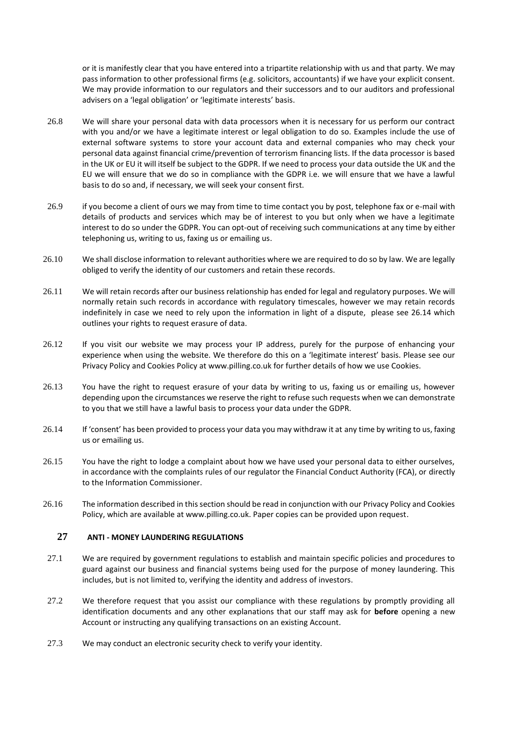or it is manifestly clear that you have entered into a tripartite relationship with us and that party. We may pass information to other professional firms (e.g. solicitors, accountants) if we have your explicit consent. We may provide information to our regulators and their successors and to our auditors and professional advisers on a 'legal obligation' or 'legitimate interests' basis.

- 26.8 We will share your personal data with data processors when it is necessary for us perform our contract with you and/or we have a legitimate interest or legal obligation to do so. Examples include the use of external software systems to store your account data and external companies who may check your personal data against financial crime/prevention of terrorism financing lists. If the data processor is based in the UK or EU it will itself be subject to the GDPR. If we need to process your data outside the UK and the EU we will ensure that we do so in compliance with the GDPR i.e. we will ensure that we have a lawful basis to do so and, if necessary, we will seek your consent first.
- 26.9 if you become a client of ours we may from time to time contact you by post, telephone fax or e-mail with details of products and services which may be of interest to you but only when we have a legitimate interest to do so under the GDPR. You can opt-out of receiving such communications at any time by either telephoning us, writing to us, faxing us or emailing us.
- 26.10 We shall disclose information to relevant authorities where we are required to do so by law. We are legally obliged to verify the identity of our customers and retain these records.
- 26.11 We will retain records after our business relationship has ended for legal and regulatory purposes. We will normally retain such records in accordance with regulatory timescales, however we may retain records indefinitely in case we need to rely upon the information in light of a dispute, please see 26.14 which outlines your rights to request erasure of data.
- 26.12 If you visit our website we may process your IP address, purely for the purpose of enhancing your experience when using the website. We therefore do this on a 'legitimate interest' basis. Please see our Privacy Policy and Cookies Policy at www.pilling.co.uk for further details of how we use Cookies.
- 26.13 You have the right to request erasure of your data by writing to us, faxing us or emailing us, however depending upon the circumstances we reserve the right to refuse such requests when we can demonstrate to you that we still have a lawful basis to process your data under the GDPR.
- 26.14 If 'consent' has been provided to process your data you may withdraw it at any time by writing to us, faxing us or emailing us.
- 26.15 You have the right to lodge a complaint about how we have used your personal data to either ourselves, in accordance with the complaints rules of our regulator the Financial Conduct Authority (FCA), or directly to the Information Commissioner.
- 26.16 The information described in this section should be read in conjunction with our Privacy Policy and Cookies Policy, which are available at www.pilling.co.uk. Paper copies can be provided upon request.

#### <span id="page-19-0"></span>**27 ANTI - MONEY LAUNDERING REGULATIONS**

- 27.1 We are required by government regulations to establish and maintain specific policies and procedures to guard against our business and financial systems being used for the purpose of money laundering. This includes, but is not limited to, verifying the identity and address of investors.
- 27.2 We therefore request that you assist our compliance with these regulations by promptly providing all identification documents and any other explanations that our staff may ask for **before** opening a new Account or instructing any qualifying transactions on an existing Account*.*
- 27.3 We may conduct an electronic security check to verify your identity.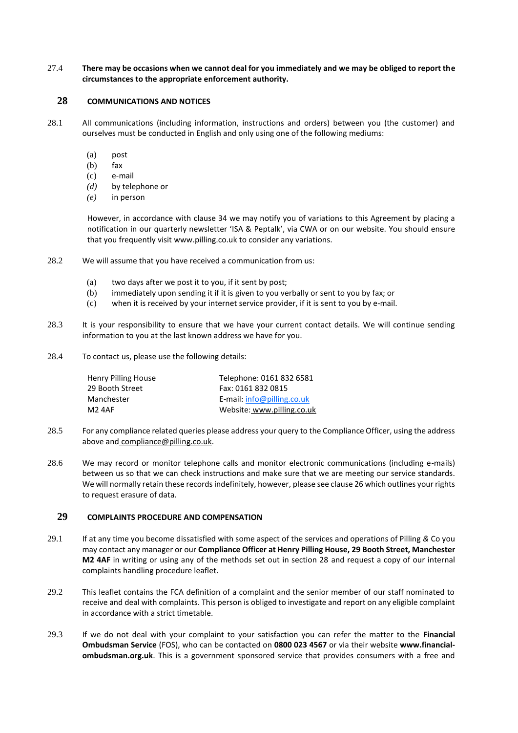27.4 **There may be occasions when we cannot deal for you immediately and we may be obliged to report the circumstances to the appropriate enforcement authority.**

## <span id="page-20-0"></span>**28 COMMUNICATIONS AND NOTICES**

- 28.1 All communications (including information, instructions and orders) between you (the customer) and ourselves must be conducted in English and only using one of the following mediums:
	- (a) post
	- (b) fax
	- (c) e-mail
	- *(d)* by telephone or
	- *(e)* in person

However, in accordance with clause 34 we may notify you of variations to this Agreement by placing a notification in our quarterly newsletter 'ISA & Peptalk', via CWA or on our website. You should ensure that you frequently visit [www.pilling.co.uk](http://www.pilling.co.uk/) to consider any variations.

- 28.2 We will assume that you have received a communication from us:
	- (a) two days after we post it to you, if it sent by post;
	- (b) immediately upon sending it if it is given to you verbally or sent to you by fax; or
	- (c) when it is received by your internet service provider, if it is sent to you by e-mail.
- 28.3 It is your responsibility to ensure that we have your current contact details. We will continue sending information to you at the last known address we have for you.
- 28.4 To contact us, please use the following details:

| Henry Pilling House | Telephone: 0161 832 6581     |
|---------------------|------------------------------|
| 29 Booth Street     | Fax: 0161 832 0815           |
| Manchester          | E-mail: $info@pilling.co.uk$ |
| M2 4AF              | Website: www.pilling.co.uk   |

- 28.5 For any compliance related queries please address your query to the Compliance Officer, using the address above and [compliance@pilling.co.uk.](mailto:compliance@pilling.co.uk)
- 28.6 We may record or monitor telephone calls and monitor electronic communications (including e-mails) between us so that we can check instructions and make sure that we are meeting our service standards. We will normally retain these records indefinitely, however, please see clause 26 which outlines your rights to request erasure of data.

### <span id="page-20-1"></span>**29 COMPLAINTS PROCEDURE AND COMPENSATION**

- 29.1 If at any time you become dissatisfied with some aspect of the services and operations of Pilling *&* Co you may contact any manager or our **Compliance Officer at Henry Pilling House, 29 Booth Street, Manchester M2 4AF** in writing or using any of the methods set out in section 28 and request a copy of our internal complaints handling procedure leaflet.
- 29.2 This leaflet contains the FCA definition of a complaint and the senior member of our staff nominated to receive and deal with complaints. This person is obliged to investigate and report on any eligible complaint in accordance with a strict timetable.
- 29.3 If we do not deal with your complaint to your satisfaction you can refer the matter to the **Financial Ombudsman Service** (FOS), who can be contacted on **0800 023 4567** or via their website **www.financial‐ ombudsman.org.uk**. This is a government sponsored service that provides consumers with a free and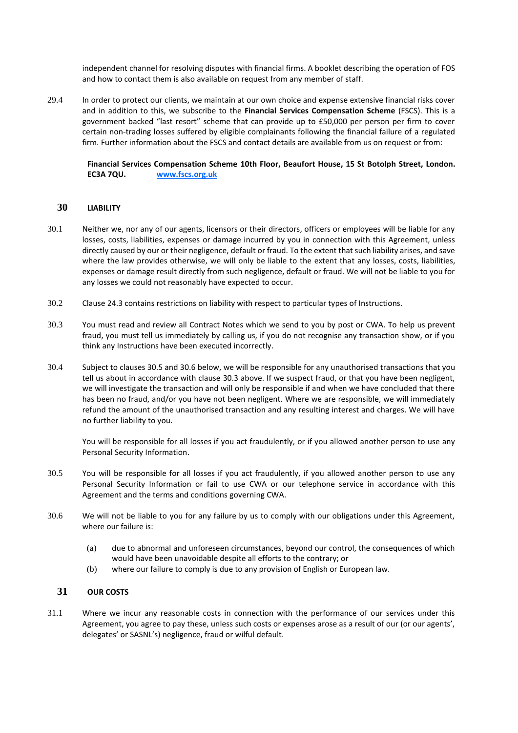independent channel for resolving disputes with financial firms. A booklet describing the operation of FOS and how to contact them is also available on request from any member of staff.

29.4 In order to protect our clients, we maintain at our own choice and expense extensive financial risks cover and in addition to this, we subscribe to the **Financial Services Compensation Scheme** (FSCS). This is a government backed "last resort" scheme that can provide up to £50,000 per person per firm to cover certain non-trading losses suffered by eligible complainants following the financial failure of a regulated firm. Further information about the FSCS and contact details are available from us on request or from:

**Financial Services Compensation Scheme 10th Floor, Beaufort House, 15 St Botolph Street, London. EC3A 7QU. [www.fscs.org.uk](http://www.fscs.org.uk/)**

#### <span id="page-21-0"></span>**30 LIABILITY**

- 30.1 Neither we, nor any of our agents, licensors or their directors, officers or employees will be liable for any losses, costs, liabilities, expenses or damage incurred by you in connection with this Agreement, unless directly caused by our or their negligence, default or fraud. To the extent that such liability arises, and save where the law provides otherwise, we will only be liable to the extent that any losses, costs, liabilities, expenses or damage result directly from such negligence, default or fraud. We will not be liable to you for any losses we could not reasonably have expected to occur.
- 30.2 Claus[e 24.3](#page-17-1) contains restrictions on liability with respect to particular types of Instructions.
- 30.3 You must read and review all Contract Notes which we send to you by post or CWA. To help us prevent fraud, you must tell us immediately by calling us, if you do not recognise any transaction show, or if you think any Instructions have been executed incorrectly.
- 30.4 Subject to clause[s 30.5](#page-21-2) and [30.6](#page-21-3) below, we will be responsible for any unauthorised transactions that you tell us about in accordance with clause 30.3 above. If we suspect fraud, or that you have been negligent, we will investigate the transaction and will only be responsible if and when we have concluded that there has been no fraud, and/or you have not been negligent. Where we are responsible, we will immediately refund the amount of the unauthorised transaction and any resulting interest and charges. We will have no further liability to you.

You will be responsible for all losses if you act fraudulently, or if you allowed another person to use any Personal Security Information.

- <span id="page-21-2"></span>30.5 You will be responsible for all losses if you act fraudulently, if you allowed another person to use any Personal Security Information or fail to use CWA or our telephone service in accordance with this Agreement and the terms and conditions governing CWA.
- <span id="page-21-3"></span>30.6 We will not be liable to you for any failure by us to comply with our obligations under this Agreement, where our failure is:
	- (a) due to abnormal and unforeseen circumstances, beyond our control, the consequences of which would have been unavoidable despite all efforts to the contrary; or
	- (b) where our failure to comply is due to any provision of English or European law.

## <span id="page-21-1"></span>**31 OUR COSTS**

31.1 Where we incur any reasonable costs in connection with the performance of our services under this Agreement, you agree to pay these, unless such costs or expenses arose as a result of our (or our agents', delegates' or SASNL's) negligence, fraud or wilful default.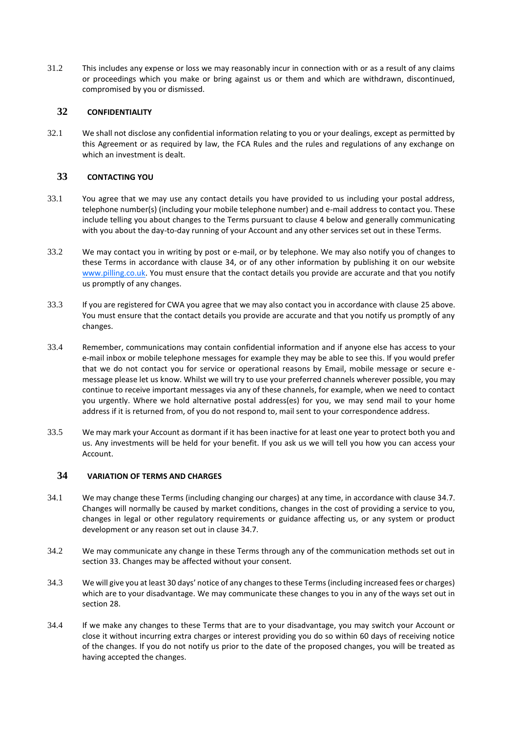31.2 This includes any expense or loss we may reasonably incur in connection with or as a result of any claims or proceedings which you make or bring against us or them and which are withdrawn, discontinued, compromised by you or dismissed.

## **32 CONFIDENTIALITY**

32.1 We shall not disclose any confidential information relating to you or your dealings, except as permitted by this Agreement or as required by law, the FCA Rules and the rules and regulations of any exchange on which an investment is dealt.

# <span id="page-22-0"></span>**33 CONTACTING YOU**

- 33.1 You agree that we may use any contact details you have provided to us including your postal address, telephone number(s) (including your mobile telephone number) and e-mail address to contact you. These include telling you about changes to the Terms pursuant to clause 4 below and generally communicating with you about the day-to-day running of your Account and any other services set out in these Terms.
- 33.2 We may contact you in writing by post or e-mail, or by telephone. We may also notify you of changes to these Terms in accordance with clause 34, or of any other information by publishing it on our website [www.pilling.co.uk.](http://www.pilling.co.uk/) You must ensure that the contact details you provide are accurate and that you notify us promptly of any changes.
- 33.3 If you are registered for CWA you agree that we may also contact you in accordance with claus[e 25](#page-18-0) above. You must ensure that the contact details you provide are accurate and that you notify us promptly of any changes.
- 33.4 Remember, communications may contain confidential information and if anyone else has access to your e-mail inbox or mobile telephone messages for example they may be able to see this. If you would prefer that we do not contact you for service or operational reasons by Email, mobile message or secure emessage please let us know. Whilst we will try to use your preferred channels wherever possible, you may continue to receive important messages via any of these channels, for example, when we need to contact you urgently. Where we hold alternative postal address(es) for you, we may send mail to your home address if it is returned from, of you do not respond to, mail sent to your correspondence address.
- 33.5 We may mark your Account as dormant if it has been inactive for at least one year to protect both you and us. Any investments will be held for your benefit. If you ask us we will tell you how you can access your Account.

# <span id="page-22-1"></span>**34 VARIATION OF TERMS AND CHARGES**

- 34.1 We may change these Terms (including changing our charges) at any time, in accordance with clause 34.7. Changes will normally be caused by market conditions, changes in the cost of providing a service to you, changes in legal or other regulatory requirements or guidance affecting us, or any system or product development or any reason set out in clause [34.7.](#page-23-3)
- 34.2 We may communicate any change in these Terms through any of the communication methods set out in section 33. Changes may be affected without your consent.
- 34.3 We will give you at least 30 days' notice of any changes to these Terms (including increased fees or charges) which are to your disadvantage. We may communicate these changes to you in any of the ways set out in section 28.
- 34.4 If we make any changes to these Terms that are to your disadvantage, you may switch your Account or close it without incurring extra charges or interest providing you do so within 60 days of receiving notice of the changes. If you do not notify us prior to the date of the proposed changes, you will be treated as having accepted the changes.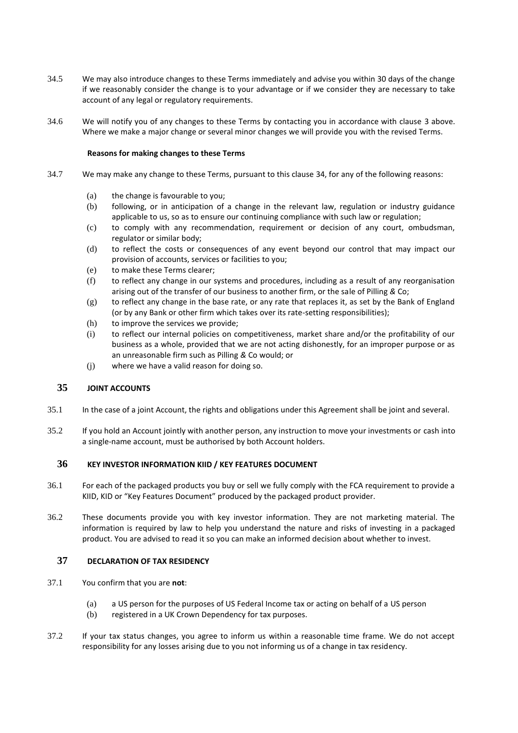- 34.5 We may also introduce changes to these Terms immediately and advise you within 30 days of the change if we reasonably consider the change is to your advantage or if we consider they are necessary to take account of any legal or regulatory requirements.
- 34.6 We will notify you of any changes to these Terms by contacting you in accordance with clause 3 above. Where we make a major change or several minor changes we will provide you with the revised Terms.

#### **Reasons for making changes to these Terms**

- <span id="page-23-3"></span>34.7 We may make any change to these Terms, pursuant to this clause [34,](#page-22-1) for any of the following reasons:
	- (a) the change is favourable to you;
	- (b) following, or in anticipation of a change in the relevant law, regulation or industry guidance applicable to us, so as to ensure our continuing compliance with such law or regulation;
	- (c) to comply with any recommendation, requirement or decision of any court, ombudsman, regulator or similar body;
	- (d) to reflect the costs or consequences of any event beyond our control that may impact our provision of accounts, services or facilities to you;
	- (e) to make these Terms clearer;
	- (f) to reflect any change in our systems and procedures, including as a result of any reorganisation arising out of the transfer of our business to another firm, or the sale of Pilling *&* Co;
	- (g) to reflect any change in the base rate, or any rate that replaces it, as set by the Bank of England (or by any Bank or other firm which takes over its rate-setting responsibilities);
	- (h) to improve the services we provide;
	- (i) to reflect our internal policies on competitiveness, market share and/or the profitability of our business as a whole, provided that we are not acting dishonestly, for an improper purpose or as an unreasonable firm such as Pilling *&* Co would; or
	- (j) where we have a valid reason for doing so.

## <span id="page-23-0"></span>**35 JOINT ACCOUNTS**

- 35.1 In the case of a joint Account, the rights and obligations under this Agreement shall be joint and several.
- 35.2 If you hold an Account jointly with another person, any instruction to move your investments or cash into a single-name account, must be authorised by both Account holders.

# <span id="page-23-1"></span>**36 KEY INVESTOR INFORMATION KIID / KEY FEATURES DOCUMENT**

- 36.1 For each of the packaged products you buy or sell we fully comply with the FCA requirement to provide a KIID, KID or "Key Features Document" produced by the packaged product provider.
- 36.2 These documents provide you with key investor information. They are not marketing material. The information is required by law to help you understand the nature and risks of investing in a packaged product. You are advised to read it so you can make an informed decision about whether to invest.

## <span id="page-23-2"></span>**37 DECLARATION OF TAX RESIDENCY**

- 37.1 You confirm that you are **not**:
	- (a) a US person for the purposes of US Federal Income tax or acting on behalf of a US person
	- (b) registered in a UK Crown Dependency for tax purposes.
- 37.2 If your tax status changes, you agree to inform us within a reasonable time frame. We do not accept responsibility for any losses arising due to you not informing us of a change in tax residency.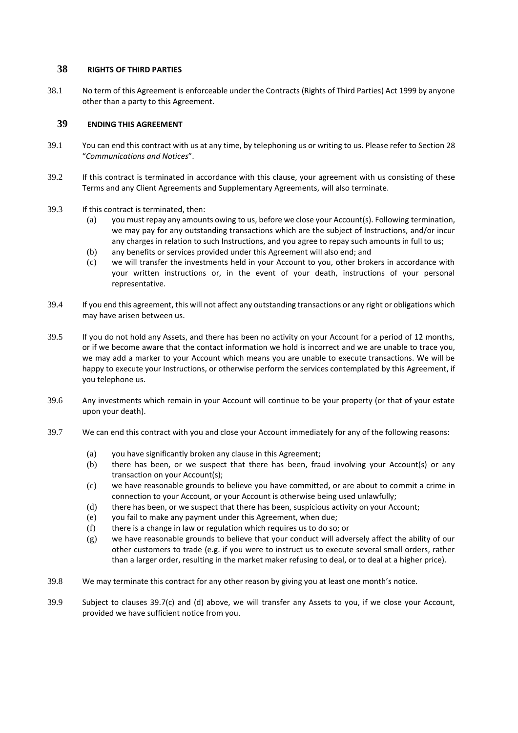## <span id="page-24-0"></span>**38 RIGHTS OF THIRD PARTIES**

38.1 No term of this Agreement is enforceable under the Contracts (Rights of Third Parties) Act 1999 by anyone other than a party to this Agreement.

## <span id="page-24-1"></span>**39 ENDING THIS AGREEMENT**

- 39.1 You can end this contract with us at any time, by telephoning us or writing to us. Please refer to Section [28](#page-20-0) "*Communications and Notices*".
- 39.2 If this contract is terminated in accordance with this clause, your agreement with us consisting of these Terms and any Client Agreements and Supplementary Agreements, will also terminate.
- 39.3 If this contract is terminated, then:
	- (a) you must repay any amounts owing to us, before we close your Account(s). Following termination, we may pay for any outstanding transactions which are the subject of Instructions, and/or incur any charges in relation to such Instructions, and you agree to repay such amounts in full to us;
	- (b) any benefits or services provided under this Agreement will also end; and
	- (c) we will transfer the investments held in your Account to you, other brokers in accordance with your written instructions or, in the event of your death, instructions of your personal representative.
- 39.4 If you end this agreement, this will not affect any outstanding transactions or any right or obligations which may have arisen between us.
- 39.5 If you do not hold any Assets, and there has been no activity on your Account for a period of 12 months, or if we become aware that the contact information we hold is incorrect and we are unable to trace you, we may add a marker to your Account which means you are unable to execute transactions. We will be happy to execute your Instructions, or otherwise perform the services contemplated by this Agreement, if you telephone us.
- 39.6 Any investments which remain in your Account will continue to be your property (or that of your estate upon your death).
- <span id="page-24-3"></span><span id="page-24-2"></span>39.7 We can end this contract with you and close your Account immediately for any of the following reasons:
	- (a) you have significantly broken any clause in this Agreement;
	- (b) there has been, or we suspect that there has been, fraud involving your Account(s) or any transaction on your Account(s);
	- (c) we have reasonable grounds to believe you have committed, or are about to commit a crime in connection to your Account, or your Account is otherwise being used unlawfully;
	- (d) there has been, or we suspect that there has been, suspicious activity on your Account;
	- (e) you fail to make any payment under this Agreement, when due;
	- (f) there is a change in law or regulation which requires us to do so; or
	- (g) we have reasonable grounds to believe that your conduct will adversely affect the ability of our other customers to trade (e.g. if you were to instruct us to execute several small orders, rather than a larger order, resulting in the market maker refusing to deal, or to deal at a higher price).
- 39.8 We may terminate this contract for any other reason by giving you at least one month's notice.
- 39.9 Subject to clauses [39.7\(c\)](#page-24-2) and [\(d\)](#page-24-3) above, we will transfer any Assets to you, if we close your Account, provided we have sufficient notice from you.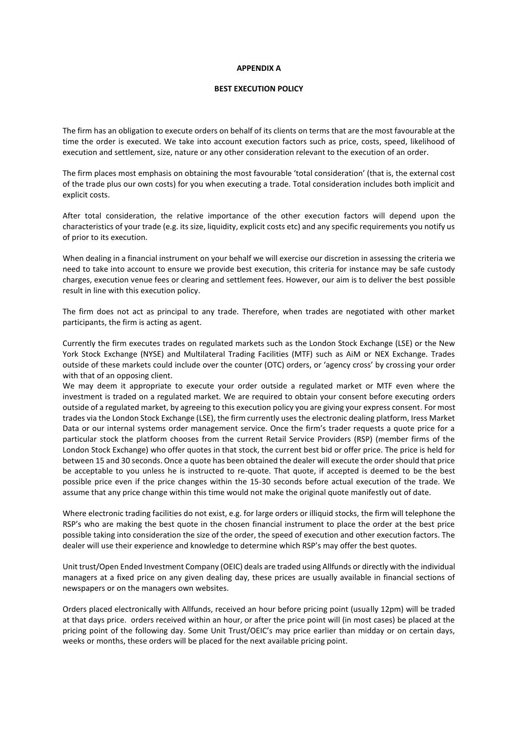#### **APPENDIX A**

#### **BEST EXECUTION POLICY**

The firm has an obligation to execute orders on behalf of its clients on terms that are the most favourable at the time the order is executed. We take into account execution factors such as price, costs, speed, likelihood of execution and settlement, size, nature or any other consideration relevant to the execution of an order.

The firm places most emphasis on obtaining the most favourable 'total consideration' (that is, the external cost of the trade plus our own costs) for you when executing a trade. Total consideration includes both implicit and explicit costs.

After total consideration, the relative importance of the other execution factors will depend upon the characteristics of your trade (e.g. its size, liquidity, explicit costs etc) and any specific requirements you notify us of prior to its execution.

When dealing in a financial instrument on your behalf we will exercise our discretion in assessing the criteria we need to take into account to ensure we provide best execution, this criteria for instance may be safe custody charges, execution venue fees or clearing and settlement fees. However, our aim is to deliver the best possible result in line with this execution policy.

The firm does not act as principal to any trade. Therefore, when trades are negotiated with other market participants, the firm is acting as agent.

Currently the firm executes trades on regulated markets such as the London Stock Exchange (LSE) or the New York Stock Exchange (NYSE) and Multilateral Trading Facilities (MTF) such as AiM or NEX Exchange. Trades outside of these markets could include over the counter (OTC) orders, or 'agency cross' by crossing your order with that of an opposing client.

We may deem it appropriate to execute your order outside a regulated market or MTF even where the investment is traded on a regulated market. We are required to obtain your consent before executing orders outside of a regulated market, by agreeing to this execution policy you are giving your express consent. For most trades via the London Stock Exchange (LSE), the firm currently uses the electronic dealing platform, Iress Market Data or our internal systems order management service. Once the firm's trader requests a quote price for a particular stock the platform chooses from the current Retail Service Providers (RSP) (member firms of the London Stock Exchange) who offer quotes in that stock, the current best bid or offer price. The price is held for between 15 and 30 seconds. Once a quote has been obtained the dealer will execute the order should that price be acceptable to you unless he is instructed to re-quote. That quote, if accepted is deemed to be the best possible price even if the price changes within the 15-30 seconds before actual execution of the trade. We assume that any price change within this time would not make the original quote manifestly out of date.

Where electronic trading facilities do not exist, e.g. for large orders or illiquid stocks, the firm will telephone the RSP's who are making the best quote in the chosen financial instrument to place the order at the best price possible taking into consideration the size of the order, the speed of execution and other execution factors. The dealer will use their experience and knowledge to determine which RSP's may offer the best quotes.

Unit trust/Open Ended Investment Company (OEIC) deals are traded using Allfunds or directly with the individual managers at a fixed price on any given dealing day, these prices are usually available in financial sections of newspapers or on the managers own websites.

Orders placed electronically with Allfunds, received an hour before pricing point (usually 12pm) will be traded at that days price. orders received within an hour, or after the price point will (in most cases) be placed at the pricing point of the following day. Some Unit Trust/OEIC's may price earlier than midday or on certain days, weeks or months, these orders will be placed for the next available pricing point.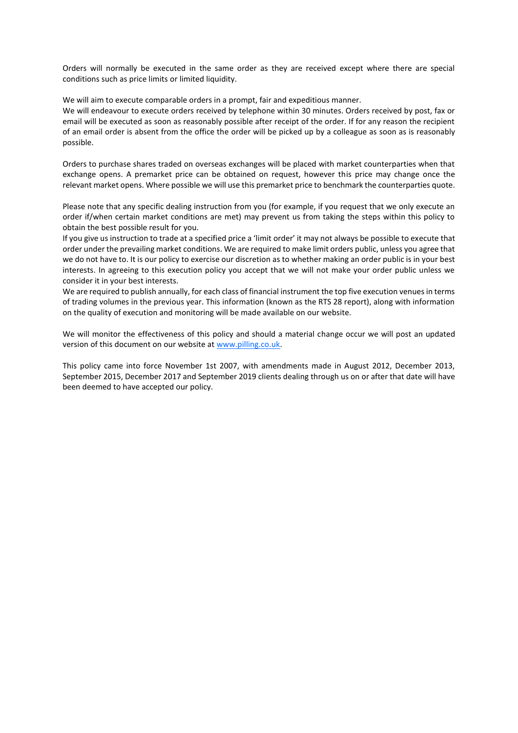Orders will normally be executed in the same order as they are received except where there are special conditions such as price limits or limited liquidity.

We will aim to execute comparable orders in a prompt, fair and expeditious manner.

We will endeavour to execute orders received by telephone within 30 minutes. Orders received by post, fax or email will be executed as soon as reasonably possible after receipt of the order. If for any reason the recipient of an email order is absent from the office the order will be picked up by a colleague as soon as is reasonably possible.

Orders to purchase shares traded on overseas exchanges will be placed with market counterparties when that exchange opens. A premarket price can be obtained on request, however this price may change once the relevant market opens. Where possible we will use this premarket price to benchmark the counterparties quote.

Please note that any specific dealing instruction from you (for example, if you request that we only execute an order if/when certain market conditions are met) may prevent us from taking the steps within this policy to obtain the best possible result for you.

If you give us instruction to trade at a specified price a 'limit order' it may not always be possible to execute that order under the prevailing market conditions. We are required to make limit orders public, unless you agree that we do not have to. It is our policy to exercise our discretion as to whether making an order public is in your best interests. In agreeing to this execution policy you accept that we will not make your order public unless we consider it in your best interests.

We are required to publish annually, for each class of financial instrument the top five execution venues in terms of trading volumes in the previous year. This information (known as the RTS 28 report), along with information on the quality of execution and monitoring will be made available on our website.

We will monitor the effectiveness of this policy and should a material change occur we will post an updated version of this document on our website at [www.pilling.co.uk.](http://www.pilling.co.uk/)

This policy came into force November 1st 2007, with amendments made in August 2012, December 2013, September 2015, December 2017 and September 2019 clients dealing through us on or after that date will have been deemed to have accepted our policy.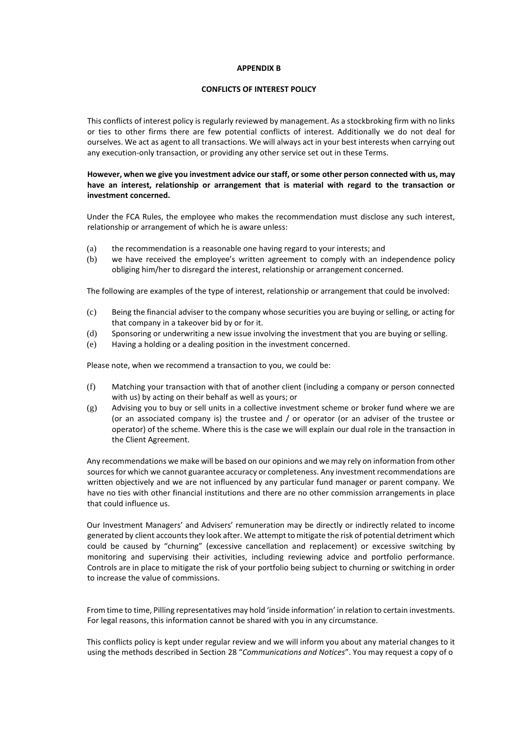#### **APPENDIX B**

#### **CONFLICTS OF INTEREST POLICY**

This conflicts of interest policy is regularly reviewed by management. As a stockbroking firm with no links or ties to other firms there are few potential conflicts of interest. Additionally we do not deal for ourselves. We act as agent to all transactions. We will always act in your best interests when carrying out any execution-only transaction, or providing any other service set out in these Terms.

## **However, when we give you investment advice our staff, or some other person connected with us, may have an interest, relationship or arrangement that is material with regard to the transaction or investment concerned.**

Under the FCA Rules, the employee who makes the recommendation must disclose any such interest, relationship or arrangement of which he is aware unless:

- (a) the recommendation is a reasonable one having regard to your interests; and
- (b) we have received the employee's written agreement to comply with an independence policy obliging him/her to disregard the interest, relationship or arrangement concerned.

The following are examples of the type of interest, relationship or arrangement that could be involved:

- (c) Being the financial adviser to the company whose securities you are buying or selling, or acting for that company in a takeover bid by or for it.
- (d) Sponsoring or underwriting a new issue involving the investment that you are buying or selling.
- (e) Having a holding or a dealing position in the investment concerned.

Please note, when we recommend a transaction to you, we could be:

- (f) Matching your transaction with that of another client (including a company or person connected with us) by acting on their behalf as well as yours; or
- (g) Advising you to buy or sell units in a collective investment scheme or broker fund where we are (or an associated company is) the trustee and / or operator (or an adviser of the trustee or operator) of the scheme. Where this is the case we will explain our dual role in the transaction in the Client Agreement.

Any recommendations we make will be based on our opinions and we may rely on information from other sources for which we cannot guarantee accuracy or completeness. Any investment recommendations are written objectively and we are not influenced by any particular fund manager or parent company. We have no ties with other financial institutions and there are no other commission arrangements in place that could influence us.

Our Investment Managers' and Advisers' remuneration may be directly or indirectly related to income generated by client accounts they look after. We attempt to mitigate the risk of potential detriment which could be caused by "churning" (excessive cancellation and replacement) or excessive switching by monitoring and supervising their activities, including reviewing advice and portfolio performance. Controls are in place to mitigate the risk of your portfolio being subject to churning or switching in order to increase the value of commissions.

From time to time, Pilling representatives may hold 'inside information' in relation to certain investments. For legal reasons, this information cannot be shared with you in any circumstance.

This conflicts policy is kept under regular review and we will inform you about any material changes to it using the methods described in Section [28](#page-20-0) "*Communications and Notices*". You may request a copy of o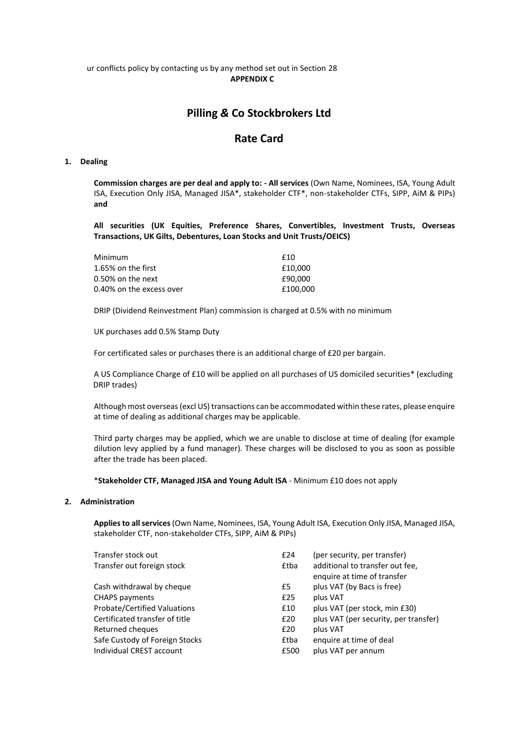#### ur conflicts policy by contacting us by any method set out in Section [28](#page-20-0) **APPENDIX C**

# **Pilling** *&* **Co Stockbrokers Ltd**

# **Rate Card**

#### **1. Dealing**

**Commission charges are per deal and apply to: - All services** (Own Name, Nominees, ISA, Young Adult ISA, Execution Only JISA, Managed JISA\*, stakeholder CTF\*, non-stakeholder CTFs, SIPP, AiM & PIPs) **and**

**All securities (UK Equities, Preference Shares, Convertibles, Investment Trusts, Overseas Transactions, UK Gilts, Debentures, Loan Stocks and Unit Trusts/OEICS)**

| Minimum                  | f10      |
|--------------------------|----------|
| 1.65% on the first       | £10,000  |
| 0.50% on the next        | £90.000  |
| 0.40% on the excess over | £100.000 |

DRIP (Dividend Reinvestment Plan) commission is charged at 0.5% with no minimum

UK purchases add 0.5% Stamp Duty

For certificated sales or purchases there is an additional charge of £20 per bargain.

A US Compliance Charge of £10 will be applied on all purchases of US domiciled securities\* (excluding DRIP trades)

Although most overseas (excl US) transactions can be accommodated within these rates, please enquire at time of dealing as additional charges may be applicable.

Third party charges may be applied, which we are unable to disclose at time of dealing (for example dilution levy applied by a fund manager). These charges will be disclosed to you as soon as possible after the trade has been placed.

\***Stakeholder CTF, Managed JISA and Young Adult ISA** - Minimum £10 does not apply

#### **2. Administration**

**Applies to all services** (Own Name, Nominees, ISA, Young Adult ISA, Execution Only JISA, Managed JISA, stakeholder CTF, non-stakeholder CTFs, SIPP, AiM & PIPs)

| Transfer stock out<br>£24                     | (per security, per transfer)                                   |
|-----------------------------------------------|----------------------------------------------------------------|
| Transfer out foreign stock<br><b>£tba</b>     | additional to transfer out fee,<br>enquire at time of transfer |
| Cash withdrawal by cheque<br>£5               | plus VAT (by Bacs is free)                                     |
| plus VAT<br><b>CHAPS payments</b><br>£25      |                                                                |
| <b>Probate/Certified Valuations</b><br>£10    | plus VAT (per stock, min £30)                                  |
| Certificated transfer of title<br>£20         | plus VAT (per security, per transfer)                          |
| Returned cheques<br>plus VAT<br>£20           |                                                                |
| Safe Custody of Foreign Stocks<br><b>£tba</b> | enquire at time of deal                                        |
| Individual CREST account<br>£500              | plus VAT per annum                                             |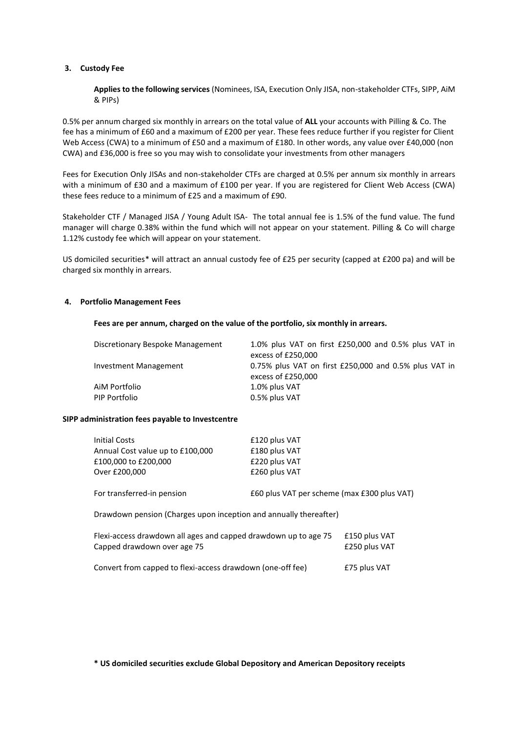#### **3. Custody Fee**

**Applies to the following services** (Nominees, ISA, Execution Only JISA, non-stakeholder CTFs, SIPP, AiM & PIPs)

0.5% per annum charged six monthly in arrears on the total value of **ALL** your accounts with Pilling & Co. The fee has a minimum of £60 and a maximum of £200 per year. These fees reduce further if you register for Client Web Access (CWA) to a minimum of £50 and a maximum of £180. In other words, any value over £40,000 (non CWA) and £36,000 is free so you may wish to consolidate your investments from other managers

Fees for Execution Only JISAs and non-stakeholder CTFs are charged at 0.5% per annum six monthly in arrears with a minimum of £30 and a maximum of £100 per year. If you are registered for Client Web Access (CWA) these fees reduce to a minimum of £25 and a maximum of £90.

Stakeholder CTF / Managed JISA / Young Adult ISA- The total annual fee is 1.5% of the fund value. The fund manager will charge 0.38% within the fund which will not appear on your statement. Pilling & Co will charge 1.12% custody fee which will appear on your statement.

US domiciled securities\* will attract an annual custody fee of £25 per security (capped at £200 pa) and will be charged six monthly in arrears.

#### **4. Portfolio Management Fees**

#### **Fees are per annum, charged on the value of the portfolio, six monthly in arrears.**

| Discretionary Bespoke Management | 1.0% plus VAT on first £250,000 and 0.5% plus VAT in<br>excess of £250,000  |
|----------------------------------|-----------------------------------------------------------------------------|
| Investment Management            | 0.75% plus VAT on first £250,000 and 0.5% plus VAT in<br>excess of £250,000 |
| AiM Portfolio                    | 1.0% plus VAT                                                               |
| PIP Portfolio                    | 0.5% plus VAT                                                               |

#### **SIPP administration fees payable to Investcentre**

| <b>Initial Costs</b>                                                             | £120 plus VAT                               |               |  |  |
|----------------------------------------------------------------------------------|---------------------------------------------|---------------|--|--|
| Annual Cost value up to £100,000                                                 | £180 plus VAT                               |               |  |  |
| £100,000 to £200,000                                                             | £220 plus VAT                               |               |  |  |
| Over £200,000                                                                    | £260 plus VAT                               |               |  |  |
| For transferred-in pension                                                       | £60 plus VAT per scheme (max £300 plus VAT) |               |  |  |
| Drawdown pension (Charges upon inception and annually thereafter)                |                                             |               |  |  |
| Flexi-access drawdown all ages and capped drawdown up to age 75<br>£150 plus VAT |                                             |               |  |  |
| Capped drawdown over age 75                                                      |                                             | £250 plus VAT |  |  |
|                                                                                  |                                             |               |  |  |

Convert from capped to flexi-access drawdown (one-off fee) £75 plus VAT

**\* US domiciled securities exclude Global Depository and American Depository receipts**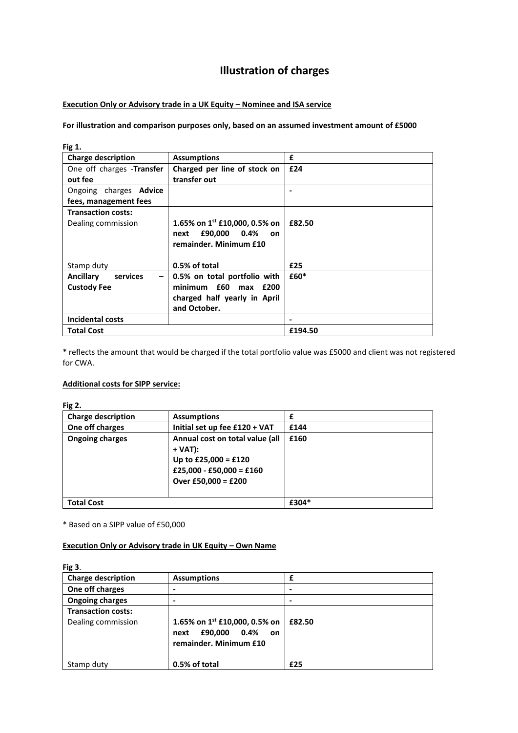# **Illustration of charges**

# **Execution Only or Advisory trade in a UK Equity – Nominee and ISA service**

## **For illustration and comparison purposes only, based on an assumed investment amount of £5000**

| Fig 1.                        |                                           |         |
|-------------------------------|-------------------------------------------|---------|
| <b>Charge description</b>     | <b>Assumptions</b>                        | £       |
| One off charges -Transfer     | Charged per line of stock on              | £24     |
| out fee                       | transfer out                              |         |
| Ongoing charges <b>Advice</b> |                                           |         |
| fees, management fees         |                                           |         |
| <b>Transaction costs:</b>     |                                           |         |
| Dealing commission            | 1.65% on 1 <sup>st</sup> £10,000, 0.5% on | £82.50  |
|                               | £90,000 0.4%<br>next<br><b>on</b>         |         |
|                               | remainder. Minimum £10                    |         |
|                               |                                           |         |
| Stamp duty                    | 0.5% of total                             | £25     |
| <b>Ancillary</b><br>services  | 0.5% on total portfolio with              | £60*    |
| <b>Custody Fee</b>            | minimum £60 max £200                      |         |
|                               | charged half yearly in April              |         |
|                               | and October.                              |         |
| <b>Incidental costs</b>       |                                           |         |
| <b>Total Cost</b>             |                                           | £194.50 |

\* reflects the amount that would be charged if the total portfolio value was £5000 and client was not registered for CWA.

#### **Additional costs for SIPP service:**

**Fig 2.**

| <b>Charge description</b> | <b>Assumptions</b>                                                                                                    |       |
|---------------------------|-----------------------------------------------------------------------------------------------------------------------|-------|
| One off charges           | Initial set up fee £120 + VAT                                                                                         | £144  |
| <b>Ongoing charges</b>    | Annual cost on total value (all<br>+ VAT):<br>Up to £25,000 = £120<br>£25,000 - £50,000 = £160<br>Over £50,000 = £200 | £160  |
| <b>Total Cost</b>         |                                                                                                                       | £304* |

\* Based on a SIPP value of £50,000

## **Execution Only or Advisory trade in UK Equity – Own Name**

| <b>Fig 3.</b>                                   |                                                                                          |        |
|-------------------------------------------------|------------------------------------------------------------------------------------------|--------|
| <b>Charge description</b>                       | <b>Assumptions</b>                                                                       |        |
| One off charges                                 | ۰                                                                                        |        |
| <b>Ongoing charges</b>                          | ۰                                                                                        |        |
| <b>Transaction costs:</b><br>Dealing commission | 1.65% on 1st £10,000, 0.5% on<br>£90,000<br>0.4%<br>next<br>on<br>remainder. Minimum £10 | £82.50 |
| Stamp duty                                      | 0.5% of total                                                                            | £25    |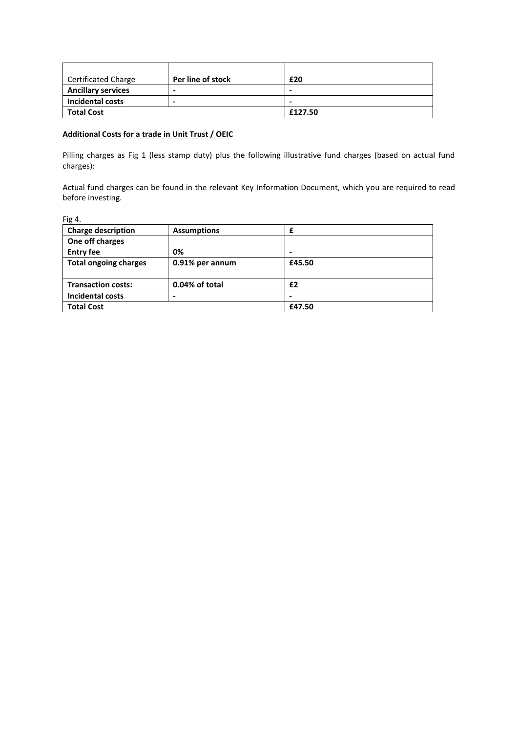| <b>Certificated Charge</b> | Per line of stock        | £20     |
|----------------------------|--------------------------|---------|
| <b>Ancillary services</b>  | $\overline{\phantom{0}}$ | -       |
| <b>Incidental costs</b>    | $\overline{\phantom{0}}$ | -       |
| <b>Total Cost</b>          |                          | £127.50 |

# **Additional Costs for a trade in Unit Trust / OEIC**

Pilling charges as Fig 1 (less stamp duty) plus the following illustrative fund charges (based on actual fund charges):

Actual fund charges can be found in the relevant Key Information Document, which you are required to read before investing.

| Fig 4.                       |                    |        |  |
|------------------------------|--------------------|--------|--|
| <b>Charge description</b>    | <b>Assumptions</b> |        |  |
| One off charges              |                    |        |  |
| <b>Entry fee</b>             | 0%                 |        |  |
| <b>Total ongoing charges</b> | 0.91% per annum    | £45.50 |  |
|                              |                    |        |  |
| <b>Transaction costs:</b>    | 0.04% of total     | £2     |  |
| <b>Incidental costs</b>      | $\blacksquare$     |        |  |
| <b>Total Cost</b>            |                    | £47.50 |  |